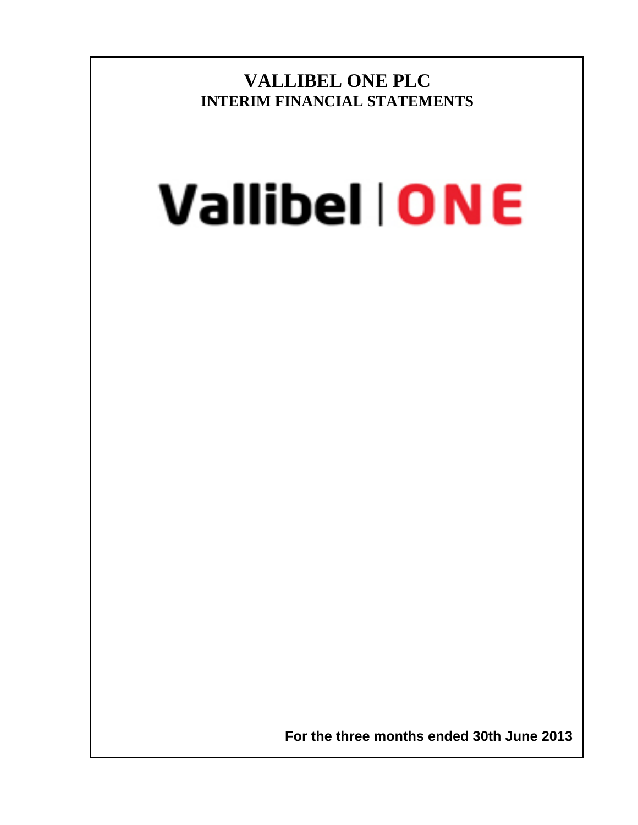**VALLIBEL ONE PLC INTERIM FINANCIAL STATEMENTS**

# **Vallibel | ONE**

 **For the three months ended 30th June 2013**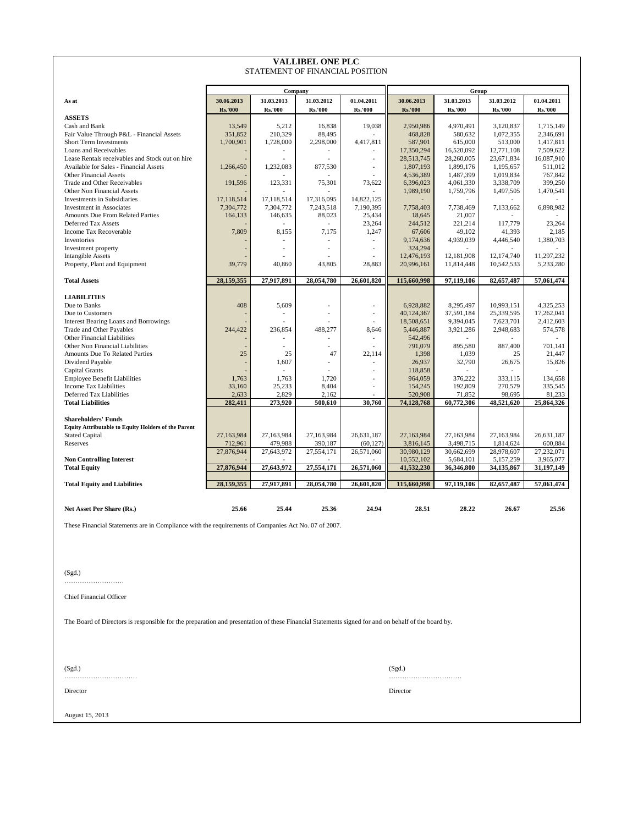|                                                                                          |                              | Company                      |                              |                       |                              | Group                        |                       |                              |
|------------------------------------------------------------------------------------------|------------------------------|------------------------------|------------------------------|-----------------------|------------------------------|------------------------------|-----------------------|------------------------------|
| As at                                                                                    | 30.06.2013<br><b>Rs.'000</b> | 31.03.2013<br><b>Rs.'000</b> | 31.03.2012<br><b>Rs.'000</b> | 01.04.2011<br>Rs.'000 | 30.06.2013<br><b>Rs.'000</b> | 31.03.2013<br><b>Rs.'000</b> | 31.03.2012<br>Rs.'000 | 01.04.2011<br><b>Rs.'000</b> |
| <b>ASSETS</b>                                                                            |                              |                              |                              |                       |                              |                              |                       |                              |
| Cash and Bank                                                                            | 13,549                       | 5,212                        | 16,838                       | 19,038                | 2,950,986                    | 4,970,491                    | 3,120,837             | 1,715,149                    |
| Fair Value Through P&L - Financial Assets                                                | 351,852                      | 210,329                      | 88,495                       |                       | 468,828                      | 580,632                      | 1,072,355             | 2,346,691                    |
| <b>Short Term Investments</b>                                                            | 1,700,901                    | 1,728,000                    | 2,298,000                    | 4,417,811             | 587,901                      | 615,000                      | 513,000               | 1,417,811                    |
| Loans and Receivables                                                                    |                              |                              |                              |                       | 17,350,294                   | 16,520,092                   | 12,771,108            | 7,509,622                    |
| Lease Rentals receivables and Stock out on hire                                          |                              |                              |                              | ÷                     | 28,513,745                   | 28,260,005                   | 23,671,834            | 16,087,910                   |
| Available for Sales - Financial Assets                                                   | 1.266,450                    | 1.232.083                    | 877,530                      |                       | 1.807.193                    | 1.899.176                    | 1.195.657             | 511.012                      |
| <b>Other Financial Assets</b>                                                            |                              |                              |                              |                       | 4,536,389                    | 1,487,399                    | 1,019,834             | 767,842                      |
| Trade and Other Receivables                                                              | 191,596                      | 123,331                      | 75,301                       | 73,622                | 6,396,023                    | 4,061,330                    | 3,338,709             | 399,250                      |
| Other Non Financial Assets                                                               |                              |                              |                              |                       | 1,989,190                    | 1,759,796                    | 1,497,505             | 1,470,541                    |
| Investments in Subsidiaries                                                              | 17,118,514                   | 17,118,514                   | 17,316,095                   | 14,822,125            |                              |                              |                       |                              |
| <b>Investment in Associates</b>                                                          | 7.304.772                    | 7,304,772                    | 7,243,518                    | 7,190,395             | 7.758,403                    | 7.738.469                    | 7,133,662             | 6,898,982                    |
| <b>Amounts Due From Related Parties</b>                                                  | 164,133                      | 146,635                      | 88,023                       | 25,434                | 18,645                       | 21,007                       |                       |                              |
| Deferred Tax Assets<br>Income Tax Recoverable                                            |                              |                              | $\sim$                       | 23,264                | 244,512                      | 221,214<br>49,102            | 117,779               | 23.264                       |
| Inventories                                                                              | 7,809                        | 8,155                        | 7,175<br>÷,                  | 1,247                 | 67,606<br>9,174,636          | 4,939,039                    | 41,393                | 2,185                        |
| Investment property                                                                      |                              |                              |                              |                       | 324,294                      |                              | 4,446,540             | 1,380,703                    |
| <b>Intangible Assets</b>                                                                 |                              |                              |                              |                       | 12,476,193                   | 12,181,908                   | 12,174,740            | 11,297,232                   |
| Property, Plant and Equipment                                                            | 39,779                       | 40,860                       | 43,805                       | 28,883                | 20,996,161                   | 11,814,448                   | 10,542,533            | 5,233,280                    |
|                                                                                          |                              |                              |                              |                       |                              |                              |                       |                              |
| <b>Total Assets</b>                                                                      | 28,159,355                   | 27,917,891                   | 28,054,780                   | 26,601,820            | 115,660,998                  | 97,119,106                   | 82,657,487            | 57,061,474                   |
| <b>LIABILITIES</b>                                                                       |                              |                              |                              |                       |                              |                              |                       |                              |
| Due to Banks                                                                             | 408                          | 5,609                        |                              |                       | 6.928.882                    | 8.295.497                    | 10,993,151            | 4,325,253                    |
| Due to Customers                                                                         |                              |                              | $\overline{a}$               | $\sim$                | 40,124,367                   | 37,591,184                   | 25,339,595            | 17,262,041                   |
| Interest Bearing Loans and Borrowings                                                    |                              |                              |                              |                       | 18,508,651                   | 9,394,045                    | 7,623,701             | 2,412,603                    |
| Trade and Other Payables                                                                 | 244,422                      | 236,854                      | 488,277                      | 8,646                 | 5,446,887                    | 3,921,286                    | 2,948,683             | 574,578                      |
| Other Financial Liabilities                                                              |                              |                              |                              | ٠                     | 542,496                      |                              |                       |                              |
| Other Non Financial Liabilities                                                          |                              |                              |                              |                       | 791,079                      | 895,580                      | 887,400               | 701,141                      |
| Amounts Due To Related Parties                                                           | 25                           | 25                           | 47                           | 22,114                | 1,398                        | 1,039                        | 25                    | 21,447                       |
| Dividend Payable                                                                         |                              | 1,607                        |                              |                       | 26,937                       | 32,790                       | 26,675                | 15,826                       |
| Capital Grants                                                                           |                              |                              |                              | $\overline{a}$        | 118,858                      |                              |                       |                              |
| <b>Employee Benefit Liabilities</b>                                                      | 1.763                        | 1.763                        | 1.720                        |                       | 964.059                      | 376,222                      | 333.115               | 134.658                      |
| <b>Income Tax Liabilities</b>                                                            | 33,160                       | 25,233                       | 8,404                        |                       | 154,245                      | 192,809                      | 270,579               | 335,545                      |
| Deferred Tax Liabilities                                                                 | 2,633                        | 2,829                        | 2,162                        |                       | 520,908                      | 71,852                       | 98,695                | 81,233                       |
| <b>Total Liabilities</b>                                                                 | 282,411                      | 273,920                      | 500,610                      | 30.760                | 74,128,768                   | 60,772,306                   | 48,521,620            | 25,864,326                   |
|                                                                                          |                              |                              |                              |                       |                              |                              |                       |                              |
| <b>Shareholders' Funds</b><br><b>Equity Attributable to Equity Holders of the Parent</b> |                              |                              |                              |                       |                              |                              |                       |                              |
| <b>Stated Capital</b>                                                                    | 27,163,984                   | 27,163,984                   | 27,163,984                   | 26,631,187            | 27,163,984                   | 27,163,984                   | 27,163,984            | 26,631,187                   |
| Reserves                                                                                 | 712,961                      | 479,988                      | 390,187                      | (60, 127)             | 3,816,145                    | 3,498,715                    | 1,814,624             | 600,884                      |
|                                                                                          | 27,876,944                   | 27,643,972                   | 27,554,171                   | 26,571,060            | 30,980,129                   | 30,662,699                   | 28,978,607            | 27,232,071                   |
| <b>Non Controlling Interest</b>                                                          |                              |                              |                              |                       | 10,552,102                   | 5,684,101                    | 5,157,259             | 3,965,077                    |
| <b>Total Equity</b>                                                                      | 27,876,944                   | 27,643,972                   | 27,554,171                   | 26,571,060            | 41,532,230                   | 36,346,800                   | 34,135,867            | 31,197,149                   |
|                                                                                          |                              |                              |                              |                       |                              |                              |                       |                              |
| <b>Total Equity and Liabilities</b>                                                      | 28,159,355                   | 27,917,891                   | 28,054,780                   | 26,601,820            | 115,660,998                  | 97.119.106                   | 82,657,487            | 57,061,474                   |
|                                                                                          |                              |                              |                              |                       |                              |                              |                       |                              |
| Net Asset Per Share (Rs.)                                                                | 25.66                        | 25.44                        | 25.36                        | 24.94                 | 28.51                        | 28.22                        | 26.67                 | 25.56                        |
|                                                                                          |                              |                              |                              |                       |                              |                              |                       |                              |

#### **VALLIBEL ONE PLC** STATEMENT OF FINANCIAL POSITION

These Financial Statements are in Compliance with the requirements of Companies Act No. 07 of 2007.

 $(Sgd.)$ ………………………

Chief Financial Officer

The Board of Directors is responsible for the preparation and presentation of these Financial Statements signed for and on behalf of the board by.

(Sgd.) (Sgd.)

**Director** Director **Director** 

…………………………… ……………………………

August 15, 2013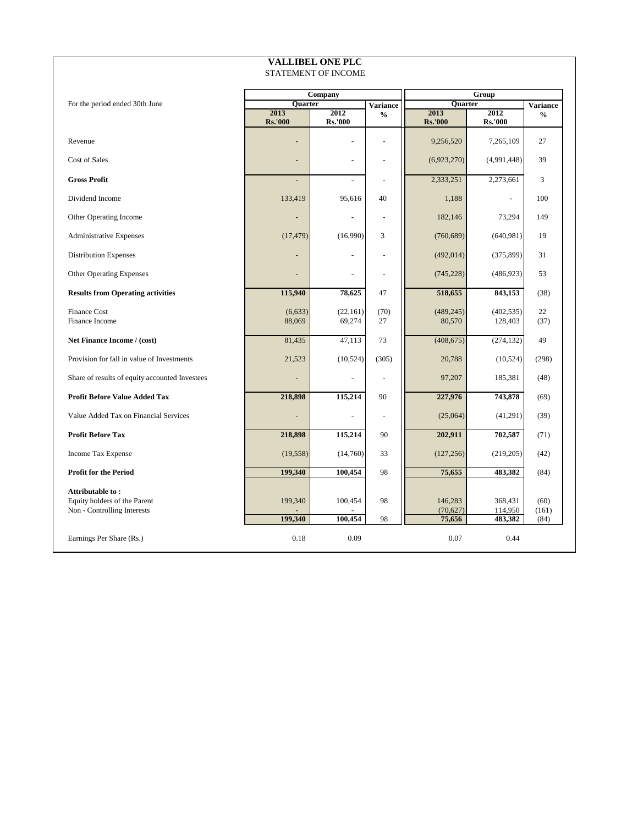| STATEMENT OF INCOME                                                             |                          |                     |                 |                                |                               |                       |  |  |  |  |
|---------------------------------------------------------------------------------|--------------------------|---------------------|-----------------|--------------------------------|-------------------------------|-----------------------|--|--|--|--|
|                                                                                 |                          | Company             |                 |                                | Group                         |                       |  |  |  |  |
| For the period ended 30th June                                                  | Quarter<br>2013          | 2012                | <b>Variance</b> | Quarter<br>2013                |                               | <b>Variance</b>       |  |  |  |  |
|                                                                                 | <b>Rs.'000</b>           | <b>Rs.'000</b>      | $\frac{6}{6}$   | <b>Rs.'000</b>                 | 2012<br><b>Rs.'000</b>        | $\frac{0}{0}$         |  |  |  |  |
| Revenue                                                                         | $\overline{\phantom{a}}$ | ÷,                  |                 | 9,256,520                      | 7,265,109                     | 27                    |  |  |  |  |
| <b>Cost of Sales</b>                                                            |                          | L,                  | L.              | (6,923,270)                    | (4,991,448)                   | 39                    |  |  |  |  |
| <b>Gross Profit</b>                                                             | $\overline{\phantom{a}}$ | ÷,                  | ÷.              | 2,333,251                      | 2,273,661                     | 3                     |  |  |  |  |
| Dividend Income                                                                 | 133,419                  | 95,616              | 40              | 1,188                          |                               | 100                   |  |  |  |  |
| Other Operating Income                                                          |                          |                     |                 | 182,146                        | 73,294                        | 149                   |  |  |  |  |
| <b>Administrative Expenses</b>                                                  | (17, 479)                | (16,990)            | 3               | (760, 689)                     | (640, 981)                    | 19                    |  |  |  |  |
| <b>Distribution Expenses</b>                                                    |                          | $\overline{a}$      |                 | (492, 014)                     | (375, 899)                    | 31                    |  |  |  |  |
| Other Operating Expenses                                                        |                          |                     |                 | (745, 228)                     | (486, 923)                    | 53                    |  |  |  |  |
| <b>Results from Operating activities</b>                                        | 115,940                  | 78,625              | 47              | 518,655                        | 843,153                       | (38)                  |  |  |  |  |
| Finance Cost<br>Finance Income                                                  | (6, 633)<br>88,069       | (22, 161)<br>69,274 | (70)<br>27      | (489, 245)<br>80,570           | (402, 535)<br>128,403         | 22<br>(37)            |  |  |  |  |
| Net Finance Income / (cost)                                                     | 81,435                   | 47,113              | 73              | (408, 675)                     | (274, 132)                    | 49                    |  |  |  |  |
| Provision for fall in value of Investments                                      | 21,523                   | (10, 524)           | (305)           | 20,788                         | (10,524)                      | (298)                 |  |  |  |  |
| Share of results of equity accounted Investees                                  |                          |                     | L,              | 97,207                         | 185,381                       | (48)                  |  |  |  |  |
| <b>Profit Before Value Added Tax</b>                                            | 218,898                  | 115,214             | 90              | 227,976                        | 743,878                       | (69)                  |  |  |  |  |
| Value Added Tax on Financial Services                                           |                          |                     |                 | (25,064)                       | (41,291)                      | (39)                  |  |  |  |  |
| <b>Profit Before Tax</b>                                                        | 218,898                  | 115,214             | 90              | 202,911                        | 702,587                       | (71)                  |  |  |  |  |
| Income Tax Expense                                                              | (19, 558)                | (14,760)            | 33              | (127, 256)                     | (219, 205)                    | (42)                  |  |  |  |  |
| <b>Profit for the Period</b>                                                    | 199,340                  | 100,454             | 98              | 75,655                         | 483,382                       | (84)                  |  |  |  |  |
| Attributable to:<br>Equity holders of the Parent<br>Non - Controlling Interests | 199,340<br>199,340       | 100,454<br>100,454  | 98<br>98        | 146,283<br>(70, 627)<br>75,656 | 368,431<br>114,950<br>483,382 | (60)<br>(161)<br>(84) |  |  |  |  |
|                                                                                 |                          |                     |                 |                                |                               |                       |  |  |  |  |
| Earnings Per Share (Rs.)                                                        | 0.18                     | 0.09                |                 | 0.07                           | 0.44                          |                       |  |  |  |  |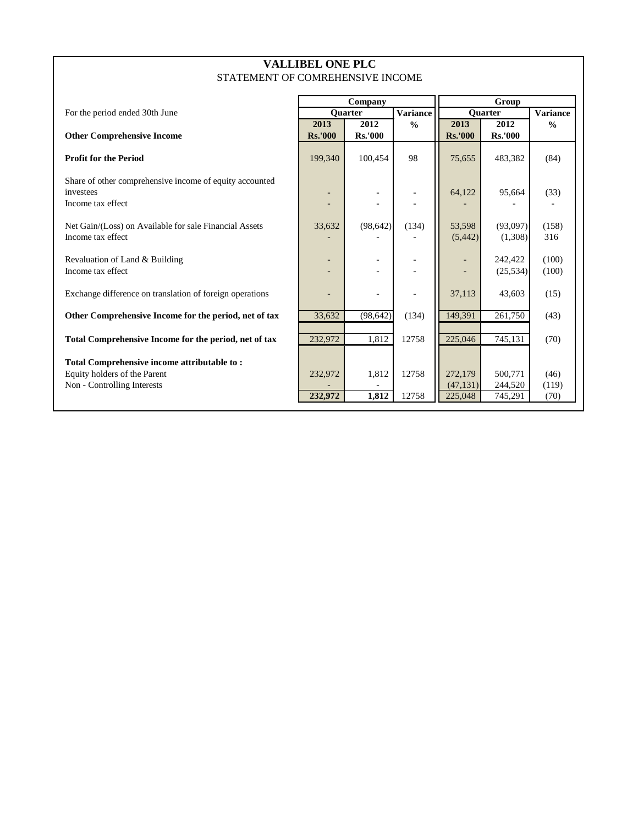|                                                                                                            | <b>VALLIBEL ONE PLC</b>          |        |                |                 |                      |                      |                       |
|------------------------------------------------------------------------------------------------------------|----------------------------------|--------|----------------|-----------------|----------------------|----------------------|-----------------------|
|                                                                                                            | STATEMENT OF COMREHENSIVE INCOME |        |                |                 |                      |                      |                       |
|                                                                                                            |                                  |        | Company        |                 |                      | Group                |                       |
| For the period ended 30th June                                                                             |                                  |        | <b>Ouarter</b> | <b>Variance</b> |                      | <b>Ouarter</b>       | <b>Variance</b>       |
|                                                                                                            | 2013                             |        | 2012           | $\frac{0}{0}$   | 2013                 | 2012                 | $\frac{0}{0}$         |
| <b>Other Comprehensive Income</b>                                                                          | <b>Rs.'000</b>                   |        | <b>Rs.'000</b> |                 | <b>Rs.'000</b>       | <b>Rs.'000</b>       |                       |
| <b>Profit for the Period</b>                                                                               | 199,340                          |        | 100,454        | 98              | 75,655               | 483,382              | (84)                  |
| Share of other comprehensive income of equity accounted<br>investees<br>Income tax effect                  |                                  |        |                |                 | 64,122               | 95,664               | (33)                  |
| Net Gain/(Loss) on Available for sale Financial Assets<br>Income tax effect                                |                                  | 33,632 | (98, 642)      | (134)           | 53,598<br>(5, 442)   | (93,097)<br>(1,308)  | (158)<br>316          |
| Revaluation of Land & Building<br>Income tax effect                                                        |                                  |        |                |                 |                      | 242,422<br>(25, 534) | (100)<br>(100)        |
| Exchange difference on translation of foreign operations                                                   |                                  |        |                |                 | 37,113               | 43,603               | (15)                  |
| Other Comprehensive Income for the period, net of tax                                                      |                                  | 33,632 | (98, 642)      | (134)           | 149.391              | 261,750              | (43)                  |
| Total Comprehensive Income for the period, net of tax                                                      | 232,972                          |        | 1,812          | 12758           | 225,046              | 745,131              | (70)                  |
| Total Comprehensive income attributable to:<br>Equity holders of the Parent<br>Non - Controlling Interests | 232,972                          |        | 1,812          | 12758           | 272,179<br>(47, 131) | 500,771<br>244,520   | (46)<br>(119)<br>(70) |
|                                                                                                            | 232,972                          |        | 1,812          | 12758           | 225,048              | 745,291              |                       |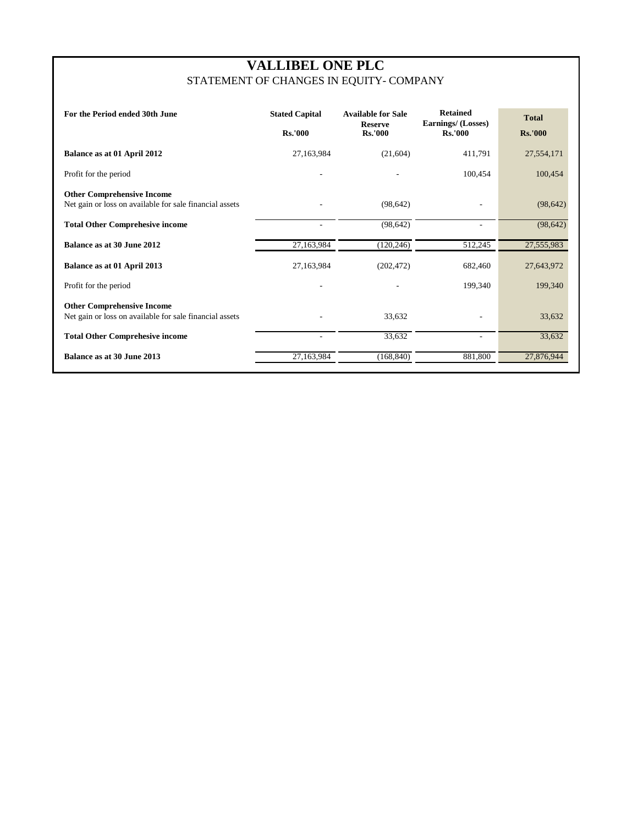# **VALLIBEL ONE PLC** STATEMENT OF CHANGES IN EQUITY- COMPANY

| For the Period ended 30th June                                                               | <b>Stated Capital</b><br><b>Rs.'000</b> | <b>Available for Sale</b><br><b>Reserve</b><br><b>Rs.'000</b> | <b>Retained</b><br>Earnings/ (Losses)<br><b>Rs.'000</b> | <b>Total</b><br><b>Rs.'000</b> |
|----------------------------------------------------------------------------------------------|-----------------------------------------|---------------------------------------------------------------|---------------------------------------------------------|--------------------------------|
| Balance as at 01 April 2012                                                                  | 27,163,984                              | (21,604)                                                      | 411,791                                                 | 27,554,171                     |
| Profit for the period                                                                        |                                         |                                                               | 100,454                                                 | 100,454                        |
| <b>Other Comprehensive Income</b><br>Net gain or loss on available for sale financial assets |                                         | (98, 642)                                                     |                                                         | (98, 642)                      |
| <b>Total Other Comprehesive income</b>                                                       | ٠                                       | (98, 642)                                                     |                                                         | (98, 642)                      |
| Balance as at 30 June 2012                                                                   | 27,163,984                              | (120, 246)                                                    | 512,245                                                 | 27,555,983                     |
| Balance as at 01 April 2013                                                                  | 27,163,984                              | (202, 472)                                                    | 682,460                                                 | 27,643,972                     |
| Profit for the period                                                                        |                                         |                                                               | 199,340                                                 | 199,340                        |
| <b>Other Comprehensive Income</b><br>Net gain or loss on available for sale financial assets |                                         | 33,632                                                        |                                                         | 33,632                         |
| <b>Total Other Comprehesive income</b>                                                       |                                         | 33,632                                                        |                                                         | 33,632                         |
| Balance as at 30 June 2013                                                                   | 27,163,984                              | (168, 840)                                                    | 881,800                                                 | 27,876,944                     |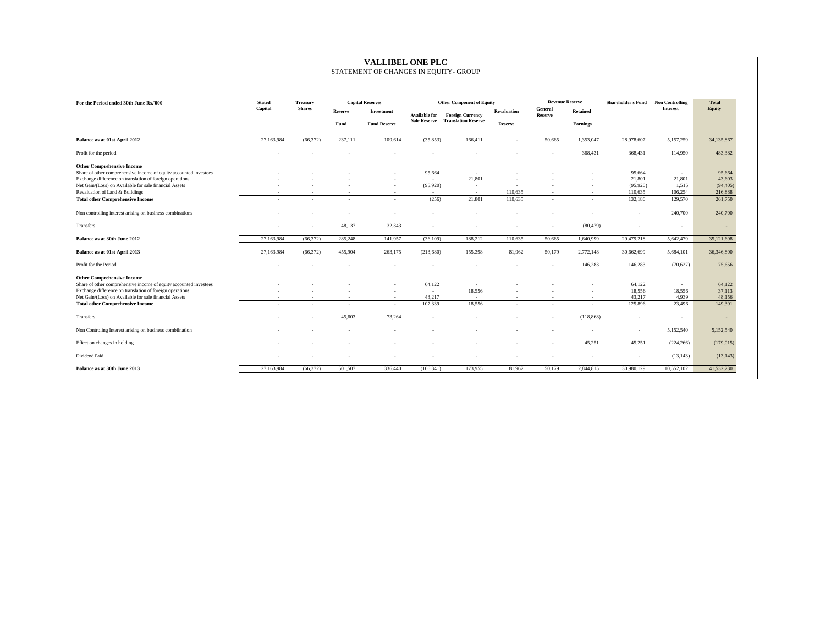#### STATEMENT OF CHANGES IN EQUITY- GROUP

| For the Period ended 30th June Rs.'000                            | <b>Stated</b> | <b>Treasury</b> |         | <b>Capital Reserves</b> |                      | <b>Other Component of Equity</b>        |                    | <b>Revenue Reserve</b> |                          | <b>Shareholder's Fund</b> | <b>Non Controlling</b> | <b>Total</b> |
|-------------------------------------------------------------------|---------------|-----------------|---------|-------------------------|----------------------|-----------------------------------------|--------------------|------------------------|--------------------------|---------------------------|------------------------|--------------|
|                                                                   | Capital       | <b>Shares</b>   | Reserve | Investment              | <b>Available for</b> | <b>Foreign Currency</b>                 | <b>Revaluation</b> | General<br>Reserve     | Retained                 |                           | <b>Interest</b>        | Equity       |
|                                                                   |               |                 | Fund    | <b>Fund Reserve</b>     |                      | <b>Sale Reserve Translation Reserve</b> | <b>Reserve</b>     |                        | <b>Earnings</b>          |                           |                        |              |
| Balance as at 01st April 2012                                     | 27,163,984    | (66,372)        | 237,111 | 109,614                 | (35, 853)            | 166,411                                 |                    | 50,665                 | 1,353,047                | 28,978,607                | 5,157,259              | 34,135,867   |
| Profit for the period                                             |               |                 |         |                         |                      |                                         |                    |                        | 368,431                  | 368,431                   | 114,950                | 483,382      |
| <b>Other Comprehensive Income</b>                                 |               |                 |         |                         |                      |                                         |                    |                        |                          |                           |                        |              |
| Share of other comprehensive income of equity accounted investees |               |                 |         |                         | 95,664               |                                         |                    |                        |                          | 95,664                    |                        | 95,664       |
| Exchange difference on translation of foreign operations          |               |                 |         |                         | $\sim$               | 21,801                                  |                    |                        |                          | 21,801                    | 21,801                 | 43,603       |
| Net Gain/(Loss) on Available for sale financial Assets            |               |                 |         | $\sim$                  | (95,920)             | $\sim$                                  | ×.                 |                        |                          | (95,920)                  | 1,515                  | (94, 405)    |
| Revaluation of Land & Buildings                                   |               |                 |         | $\sim$                  | $\sim$               | $\sim$                                  | 110.635            |                        | ٠                        | 110,635                   | 106.254                | 216,888      |
| <b>Total other Comprehensive Income</b>                           |               |                 |         |                         | (256)                | 21,801                                  | 110,635            |                        |                          | 132,180                   | 129,570                | 261,750      |
| Non controlling interest arising on business combinations         |               |                 |         |                         |                      |                                         |                    |                        |                          |                           | 240,700                | 240,700      |
| Transfers                                                         |               |                 | 48,137  | 32,343                  |                      |                                         |                    |                        | (80, 479)                |                           | $\sim$                 | $\sim$       |
| Balance as at 30th June 2012                                      | 27,163,984    | (66,372)        | 285,248 | 141,957                 | (36, 109)            | 188,212                                 | 110.635            | 50,665                 | 1,640,999                | 29,479,218                | 5,642,479              | 35,121,698   |
| Balance as at 01st April 2013                                     | 27,163,984    | (66,372)        | 455,904 | 263,175                 | (213,680)            | 155,398                                 | 81,962             | 50,179                 | 2,772,148                | 30,662,699                | 5,684,101              | 36,346,800   |
| Profit for the Period                                             |               |                 |         |                         |                      |                                         |                    |                        | 146,283                  | 146,283                   | (70,627)               | 75,656       |
| <b>Other Comprehensive Income</b>                                 |               |                 |         |                         |                      |                                         |                    |                        |                          |                           |                        |              |
| Share of other comprehensive income of equity accounted investees |               |                 |         |                         | 64,122               | $\sim$                                  |                    |                        |                          | 64,122                    |                        | 64,122       |
| Exchange difference on translation of foreign operations          |               |                 |         | $\sim$                  | <b>1999</b>          | 18,556                                  |                    |                        |                          | 18,556                    | 18,556                 | 37,113       |
| Net Gain/(Loss) on Available for sale financial Assets            |               |                 |         | $\sim$                  | 43,217               | ×.                                      |                    |                        | <b>COL</b>               | 43,217                    | 4.939                  | 48,156       |
| <b>Total other Comprehensive Income</b>                           |               |                 |         |                         | 107,339              | 18,556                                  |                    |                        |                          | 125,896                   | 23,496                 | 149,391      |
| <b>Transfers</b>                                                  |               |                 | 45.603  | 73,264                  |                      |                                         |                    |                        | (118, 868)               |                           | $\sim$                 | $\sim$       |
| Non Controling Interest arising on business combilnation          |               |                 |         |                         |                      |                                         |                    |                        | $\overline{\phantom{a}}$ | ×.                        | 5,152,540              | 5,152,540    |
| Effect on changes in holding                                      |               |                 |         |                         |                      |                                         |                    |                        | 45,251                   | 45,251                    | (224, 266)             | (179, 015)   |
| Dividend Paid                                                     |               |                 |         |                         |                      |                                         |                    |                        |                          | ×.                        | (13, 143)              | (13, 143)    |
| Balance as at 30th June 2013                                      | 27,163,984    | (66.372)        | 501,507 | 336,440                 | (106.341)            | 173,955                                 | 81.962             | 50.179                 | 2.844.815                | 30,980,129                | 10.552.102             | 41,532,230   |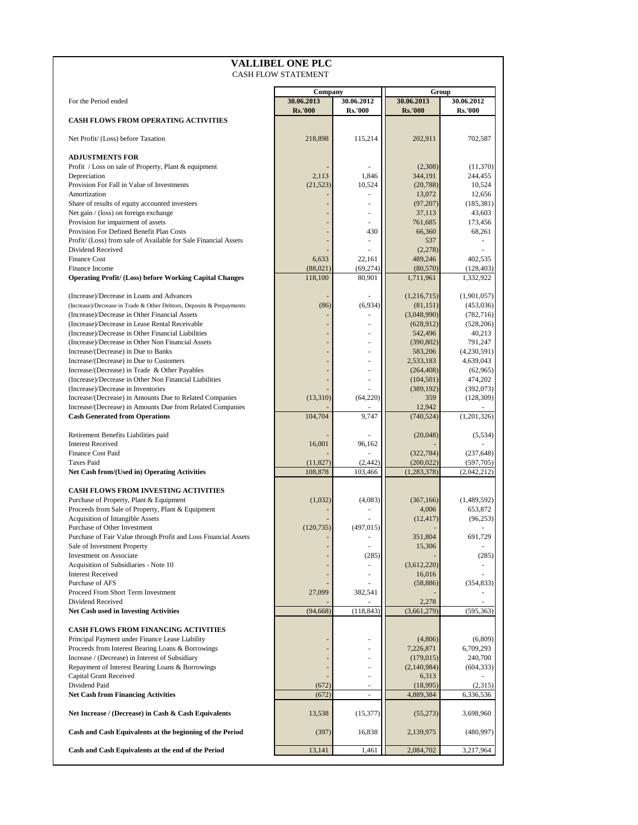|                                                                                                                      | <b>VALLIBEL ONE PLC</b><br><b>CASH FLOW STATEMENT</b> |                |                       |                     |
|----------------------------------------------------------------------------------------------------------------------|-------------------------------------------------------|----------------|-----------------------|---------------------|
|                                                                                                                      | Company                                               |                | Group                 |                     |
| For the Period ended                                                                                                 | 30.06.2013                                            | 30.06.2012     | 30.06.2013            | 30.06.2012          |
| <b>CASH FLOWS FROM OPERATING ACTIVITIES</b>                                                                          | <b>Rs.'000</b>                                        | <b>Rs.'000</b> | <b>Rs.'000</b>        | <b>Rs.'000</b>      |
|                                                                                                                      |                                                       |                |                       | 702,587             |
| Net Profit/ (Loss) before Taxation                                                                                   | 218,898                                               | 115,214        | 202,911               |                     |
| <b>ADJUSTMENTS FOR</b>                                                                                               |                                                       |                |                       |                     |
| Profit / Loss on sale of Property, Plant & equipment<br>Depreciation                                                 | 2,113                                                 | 1,846          | (2,308)<br>344,191    | (11,370)<br>244,455 |
| Provision For Fall in Value of Investments                                                                           | (21, 523)                                             | 10,524         | (20, 788)             | 10,524              |
| Amortization                                                                                                         |                                                       |                | 13,072                | 12,656              |
| Share of results of equity accounted investees                                                                       |                                                       |                | (97, 207)             | (185, 381)          |
| Net gain / (loss) on foreign exchange                                                                                |                                                       |                | 37,113                | 43,603              |
| Provision for impairment of assets                                                                                   |                                                       |                | 761,685               | 173,456             |
| Provision For Defined Benefit Plan Costs<br>Profit/ (Loss) from sale of Available for Sale Financial Assets          |                                                       | 430<br>ä,      | 66,360<br>537         | 68,261              |
| Dividend Received                                                                                                    |                                                       |                | (2,278)               |                     |
| <b>Finance Cost</b>                                                                                                  | 6,633                                                 | 22,161         | 489,246               | 402,535             |
| Finance Income                                                                                                       | (88,021)                                              | (69, 274)      | (80, 570)             | (128, 403)          |
| <b>Operating Profit/ (Loss) before Working Capital Changes</b>                                                       | 118,100                                               | 80,901         | 1,711,961             | 1,332,922           |
| (Increase)/Decrease in Loans and Advances                                                                            |                                                       |                | (1,216,715)           | (1,901,057)         |
| (Increase)/Decrease in Trade & Other Debtors, Deposits & Prepayments                                                 | (86)                                                  | (6,934)        | (81, 151)             | (453, 036)          |
| (Increase)/Decrease in Other Financial Assets                                                                        |                                                       |                | (3,048,990)           | (782, 716)          |
| (Increase)/Decrease in Lease Rental Receivable                                                                       |                                                       |                | (628, 912)            | (528, 206)          |
| (Increase)/Decrease in Other Financial Liabilities<br>(Increase)/Decrease in Other Non Financial Assets              |                                                       |                | 542,496<br>(390, 802) | 40,213<br>791,247   |
| Increase/(Decrease) in Due to Banks                                                                                  |                                                       |                | 583,206               | (4,230,591)         |
| Increase/(Decrease) in Due to Customers                                                                              |                                                       |                | 2,533,183             | 4,639,043           |
| Increase/(Decrease) in Trade & Other Payables                                                                        |                                                       |                | (264, 408)            | (62,965)            |
| (Increase)/Decrease in Other Non Financial Liabilities                                                               |                                                       |                | (104, 501)            | 474,202             |
| (Increase)/Decrease in Inventories                                                                                   |                                                       |                | (389, 192)            | (392,073)           |
| Increase/(Decrease) in Amounts Due to Related Companies<br>Increase/(Decrease) in Amounts Due from Related Companies | (13,310)                                              | (64, 220)      | 359<br>12,942         | (128, 309)          |
| <b>Cash Generated from Operations</b>                                                                                | 104,704                                               | 9,747          | (740, 524)            | (1,201,326)         |
| Retirement Benefits Liabilities paid                                                                                 |                                                       |                | (20,048)              | (5, 534)            |
| <b>Interest Received</b>                                                                                             | 16,001                                                | 96,162         |                       |                     |
| <b>Finance Cost Paid</b>                                                                                             |                                                       |                | (322, 784)            | (237, 648)          |
| <b>Taxes Paid</b>                                                                                                    | (11, 827)                                             | (2, 442)       | (200, 022)            | (597,705)           |
| <b>Net Cash from/(Used in) Operating Activities</b>                                                                  | 108,878                                               | 103,466        | (1, 283, 378)         | (2,042,212)         |
| <b>CASH FLOWS FROM INVESTING ACTIVITIES</b>                                                                          |                                                       |                |                       |                     |
| Purchase of Property, Plant & Equipment                                                                              | (1,032)                                               | (4,083)        | (367, 166)            | (1,489,592)         |
| Proceeds from Sale of Property, Plant & Equipment                                                                    |                                                       |                | 4,006                 | 653,872             |
| Acquisition of Intangible Assets                                                                                     |                                                       |                | (12, 417)             | (96, 253)           |
| Purchase of Other Investment<br>Purchase of Fair Value through Profit and Loss Financial Assets                      | (120, 735)                                            | (497, 015)     | 351,804               | 691,729             |
| Sale of Investment Property                                                                                          |                                                       |                | 15,306                |                     |
| Investment on Associate                                                                                              |                                                       | (285)          |                       | (285)               |
| Acquisition of Subsidiaries - Note 10                                                                                |                                                       |                | (3,612,220)           |                     |
| <b>Interest Received</b>                                                                                             |                                                       |                | 16,016                |                     |
| Purchase of AFS<br>Proceed From Short Term Investment                                                                | 27,099                                                | 382,541        | (58, 886)             | (354, 833)          |
| Dividend Received                                                                                                    |                                                       |                | 2,278                 |                     |
| <b>Net Cash used in Investing Activities</b>                                                                         | (94, 668)                                             | (118, 843)     | (3,661,279)           | (595, 363)          |
| <b>CASH FLOWS FROM FINANCING ACTIVITIES</b>                                                                          |                                                       |                |                       |                     |
| Principal Payment under Finance Lease Liability                                                                      |                                                       |                | (4,806)               | (6,809)             |
| Proceeds from Interest Bearing Loans & Borrowings                                                                    |                                                       | ä,             | 7,226,871             | 6,709,293           |
| Increase / (Decrease) in Interest of Subsidiary                                                                      |                                                       |                | (179, 015)            | 240,700             |
| Repayment of Interest Bearing Loans & Borrowings                                                                     |                                                       | ä,             | (2,140,984)           | (604, 333)          |
| Capital Grant Received<br>Dividend Paid                                                                              | (672)                                                 | ٠<br>٠         | 6,313<br>(18,995)     | (2,315)             |
| <b>Net Cash from Financing Activities</b>                                                                            | (672)                                                 |                | 4,889,384             | 6,336,536           |
| Net Increase / (Decrease) in Cash & Cash Equivalents                                                                 | 13,538                                                | (15, 377)      | (55, 273)             | 3,698,960           |
| Cash and Cash Equivalents at the beginning of the Period                                                             | (397)                                                 | 16,838         | 2,139,975             | (480,997)           |
| Cash and Cash Equivalents at the end of the Period                                                                   | 13,141                                                | 1,461          | 2,084,702             | 3,217,964           |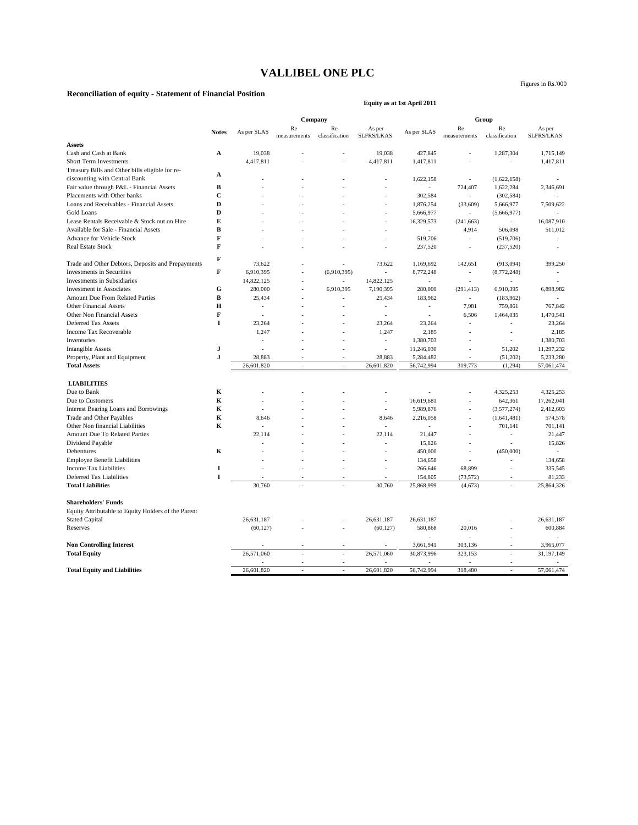#### **Reconciliation of equity - Statement of Financial Position**

Figures in Rs.'000

|                                                     |              |                |              |                          |                | Equity as at 1st April 2011 |              |                |            |
|-----------------------------------------------------|--------------|----------------|--------------|--------------------------|----------------|-----------------------------|--------------|----------------|------------|
|                                                     |              |                |              | Company                  |                |                             |              | Group          |            |
|                                                     | <b>Notes</b> | As per SLAS    | Re           | Re                       | As per         | As per SLAS                 | Re           | Re             | As per     |
| Assets                                              |              |                | measurements | classification           | SLFRS/LKAS     |                             | measurements | classification | SLFRS/LKAS |
| Cash and Cash at Bank                               | A            | 19,038         |              |                          | 19,038         | 427,845                     |              | 1,287,304      | 1,715,149  |
| <b>Short Term Investments</b>                       |              | 4,417,811      |              |                          | 4,417,811      | 1,417,811                   |              |                | 1,417,811  |
| Treasury Bills and Other bills eligible for re-     |              |                |              |                          |                |                             |              |                |            |
| discounting with Central Bank                       | A            |                |              |                          |                | 1,622,158                   | ä,           | (1,622,158)    |            |
| Fair value through P&L - Financial Assets           | B            |                |              |                          |                | $\overline{a}$              | 724,407      | 1,622,284      | 2,346,691  |
| Placements with Other banks                         | $\mathbf C$  |                |              |                          |                | 302,584                     |              | (302, 584)     |            |
| Loans and Receivables - Financial Assets            | D            |                |              |                          |                | 1,876,254                   | (33,609)     | 5,666,977      | 7,509,622  |
| Gold Loans                                          | $\bf{D}$     |                |              |                          |                | 5,666,977                   |              | (5,666,977)    |            |
| Lease Rentals Receivable & Stock out on Hire        | Е            |                |              |                          | ä,             | 16,329,573                  | (241, 663)   | ÷,             | 16,087,910 |
| Available for Sale - Financial Assets               | B            |                |              |                          |                | $\sim$                      | 4,914        | 506,098        | 511.012    |
| <b>Advance for Vehicle Stock</b>                    | $\mathbf F$  |                |              |                          |                | 519,706                     |              | (519,706)      |            |
| <b>Real Estate Stock</b>                            | F            |                |              |                          |                | 237,520                     | ×            | (237, 520)     | $\sim$     |
|                                                     |              |                |              |                          |                |                             |              |                |            |
| Trade and Other Debtors, Deposits and Prepayments   | F            | 73,622         |              |                          | 73,622         | 1,169,692                   | 142,651      | (913,094)      | 399,250    |
| Investments in Securities                           | $\mathbf F$  | 6,910,395      |              | (6,910,395)              | $\overline{a}$ | 8,772,248                   | ä,           | (8,772,248)    | à.         |
| <b>Investments in Subsidiaries</b>                  |              | 14,822,125     |              |                          | 14,822,125     |                             |              |                |            |
| <b>Investment</b> in Associates                     | G            | 280,000        |              | 6,910,395                | 7,190,395      | 280,000                     | (291, 413)   | 6,910,395      | 6,898,982  |
| <b>Amount Due From Related Parties</b>              | $\, {\bf B}$ | 25,434         |              |                          | 25,434         | 183,962                     | ÷,           | (183,962)      |            |
| <b>Other Financial Assets</b>                       | $\mathbf H$  | ÷,             |              |                          | $\sim$         | $\sim$                      | 7,981        | 759,861        | 767,842    |
| Other Non Financial Assets                          | F            | ÷,             |              |                          | L              | L                           | 6,506        | 1,464,035      | 1,470,541  |
| <b>Deferred Tax Assets</b>                          | I            | 23,264         |              |                          | 23,264         | 23,264                      | ÷.           |                | 23,264     |
| <b>Income Tax Recoverable</b>                       |              | 1.247          |              |                          | 1,247          | 2,185                       |              |                | 2,185      |
| Inventories                                         |              | $\overline{a}$ |              |                          | $\overline{a}$ | 1,380,703                   |              |                | 1,380,703  |
| <b>Intangible Assets</b>                            | J            |                |              |                          | ÷,             | 11,246,030                  | ÷.           | 51,202         | 11,297,232 |
| Property, Plant and Equipment                       | J            | 28,883         |              |                          | 28,883         | 5,284,482                   |              | (51,202)       | 5,233,280  |
| <b>Total Assets</b>                                 |              | 26,601,820     |              |                          | 26,601,820     | 56,742,994                  | 319,773      | (1, 294)       | 57,061,474 |
|                                                     |              |                |              |                          |                |                             |              |                |            |
| <b>LIABILITIES</b>                                  |              |                |              |                          |                |                             |              |                |            |
| Due to Bank                                         | $\bf K$      |                |              |                          | ÷,             | l,                          |              | 4,325,253      | 4,325,253  |
| Due to Customers                                    | K            |                |              |                          |                | 16,619,681                  |              | 642,361        | 17,262,041 |
| <b>Interest Bearing Loans and Borrowings</b>        | K            |                |              |                          | ÷,             | 5,989,876                   |              | (3,577,274)    | 2,412,603  |
| Trade and Other Payables                            | $\bf K$      | 8,646          |              |                          | 8,646          | 2,216,058                   | $\sim$       | (1,641,481)    | 574,578    |
| Other Non financial Liabilities                     | K            |                |              |                          |                |                             |              | 701,141        | 701,141    |
| Amount Due To Related Parties                       |              | 22,114         |              |                          | 22,114         | 21,447                      |              |                | 21,447     |
| Dividend Payable                                    |              |                |              |                          |                | 15,826                      |              |                | 15,826     |
| Debentures                                          | K            |                |              |                          |                | 450,000                     |              | (450,000)      |            |
| <b>Employee Benefit Liabilities</b>                 |              |                |              |                          | ÷              | 134,658                     | ٠            |                | 134,658    |
| <b>Income Tax Liabilities</b>                       | I            |                |              |                          |                | 266,646                     | 68,899       |                | 335,545    |
| Deferred Tax Liabilities                            | 1            |                |              |                          |                | 154,805                     | (73, 572)    |                | 81,233     |
| <b>Total Liabilities</b>                            |              | 30,760         |              |                          | 30,760         | 25,868,999                  | (4,673)      |                | 25,864,326 |
|                                                     |              |                |              |                          |                |                             |              |                |            |
| <b>Shareholders' Funds</b>                          |              |                |              |                          |                |                             |              |                |            |
| Equity Attributable to Equity Holders of the Parent |              |                |              |                          |                |                             |              |                |            |
| <b>Stated Capital</b>                               |              | 26,631,187     |              |                          | 26,631,187     | 26,631,187                  |              |                | 26,631,187 |
| Reserves                                            |              | (60, 127)      |              |                          | (60, 127)      | 580,868                     | 20,016       |                | 600,884    |
|                                                     |              |                |              |                          |                | ä,                          | $\sim$       |                |            |
| <b>Non Controlling Interest</b>                     |              |                |              |                          |                | 3,661,941                   | 303,136      |                | 3,965,077  |
| <b>Total Equity</b>                                 |              | 26,571,060     | $\bar{a}$    | $\overline{\phantom{a}}$ | 26,571,060     | 30,873,996                  | 323,153      | J.             | 31,197,149 |
|                                                     |              |                | <u>. .</u>   |                          |                |                             |              |                |            |
| <b>Total Equity and Liabilities</b>                 |              | 26,601,820     |              |                          | 26,601,820     | 56,742,994                  | 318,480      |                | 57,061,474 |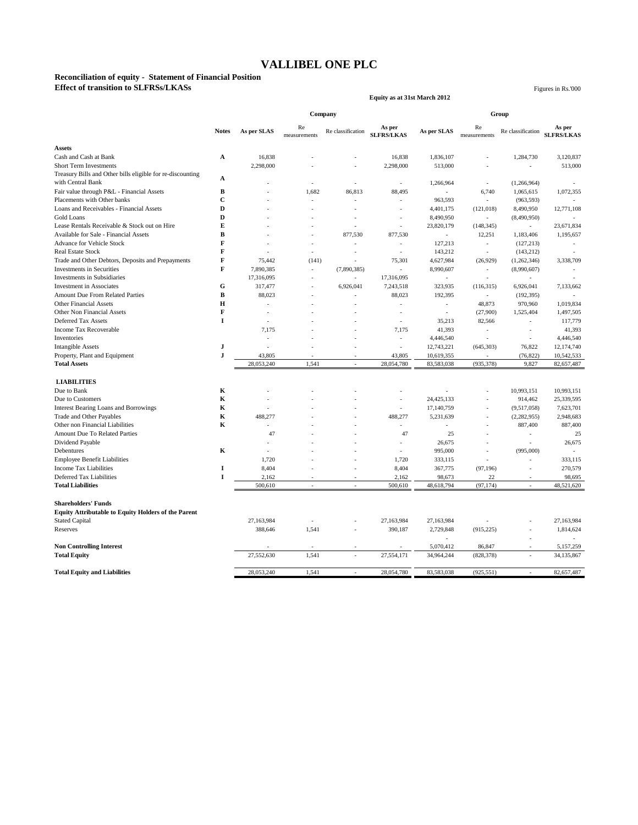**Equity as at 31st March 2012**

# **Reconciliation of equity - Statement of Financial Position**

**Effect of transition to SLFRSs/LKASs** Figures in Rs.'000

|                                                            |              |                | Company            |                          |                             | Group               |                    |                          |                             |
|------------------------------------------------------------|--------------|----------------|--------------------|--------------------------|-----------------------------|---------------------|--------------------|--------------------------|-----------------------------|
|                                                            | <b>Notes</b> | As per SLAS    | Re<br>measurements | Re classification        | As per<br><b>SLFRS/LKAS</b> | As per SLAS         | Re<br>measurements | Re classification        | As per<br><b>SLFRS/LKAS</b> |
| <b>Assets</b>                                              |              |                |                    |                          |                             |                     |                    |                          |                             |
| Cash and Cash at Bank                                      | A            | 16,838         |                    |                          | 16,838                      | 1,836,107           | ä,                 | 1,284,730                | 3,120,837                   |
| Short Term Investments                                     |              | 2,298,000      |                    |                          | 2,298,000                   | 513,000             |                    | ÷,                       | 513,000                     |
| Treasury Bills and Other bills eligible for re-discounting |              |                |                    |                          |                             |                     |                    |                          |                             |
| with Central Bank                                          | $\mathbf{A}$ |                |                    |                          | ÷,                          | 1,266,964           | $\omega$           | (1, 266, 964)            |                             |
| Fair value through P&L - Financial Assets                  | B            |                | 1,682              | 86,813                   | 88,495                      | $\overline{a}$      | 6,740              | 1,065,615                | 1,072,355                   |
| Placements with Other banks                                | $\mathbf{C}$ |                |                    |                          |                             | 963,593             | ÷,                 | (963, 593)               |                             |
| Loans and Receivables - Financial Assets                   | D            |                |                    |                          | $\ddot{\phantom{1}}$        | 4,401,175           | (121, 018)         | 8,490,950                | 12,771,108                  |
| Gold Loans                                                 | D            |                |                    |                          | ÷,                          | 8,490,950           | $\sim$             | (8,490,950)              |                             |
| Lease Rentals Receivable & Stock out on Hire               | E            |                |                    |                          | ÷,                          | 23,820,179          | (148, 345)         | $\sim$                   | 23,671,834                  |
| Available for Sale - Financial Assets                      | B            |                |                    | 877,530                  | 877,530                     | $\bar{\phantom{a}}$ | 12,251             | 1,183,406                | 1,195,657                   |
| Advance for Vehicle Stock                                  | F            |                |                    |                          | ÷,                          | 127,213             | $\omega$           | (127, 213)               |                             |
| <b>Real Estate Stock</b>                                   | $\bf{F}$     |                | $\overline{a}$     |                          | $\sim$                      | 143,212             | $\omega$           | (143,212)                | $\sim$                      |
| Trade and Other Debtors, Deposits and Prepayments          | F            | 75,442         | (141)              |                          | 75,301                      | 4,627,984           | (26,929)           | (1,262,346)              | 3,338,709                   |
| Investments in Securities                                  | $\mathbf{F}$ | 7,890,385      | L.                 | (7,890,385)              | $\overline{a}$              | 8,990,607           | $\sim$             | (8,990,607)              |                             |
| <b>Investments</b> in Subsidiaries                         |              | 17,316,095     |                    |                          | 17,316,095                  | $\overline{a}$      | ÷,                 |                          |                             |
| <b>Investment</b> in Associates                            | G            | 317,477        | ÷.                 | 6,926,041                | 7,243,518                   | 323,935             | (116, 315)         | 6,926,041                | 7,133,662                   |
| <b>Amount Due From Related Parties</b>                     | $\bf{B}$     | 88,023         |                    |                          | 88,023                      | 192,395             | $\sim$             | (192, 395)               |                             |
| <b>Other Financial Assets</b>                              | $\mathbf H$  | L,             |                    |                          | ä,                          | ÷,                  | 48,873             | 970,960                  | 1,019,834                   |
| Other Non Financial Assets                                 | $\mathbf F$  |                |                    |                          | ÷.                          | ÷.                  | (27,900)           | 1,525,404                | 1,497,505                   |
| <b>Deferred Tax Assets</b>                                 | $\mathbf I$  |                |                    |                          | L.                          | 35,213              | 82,566             | L.                       | 117,779                     |
| Income Tax Recoverable                                     |              | 7,175          |                    |                          | 7,175                       | 41,393              | ÷.                 | $\sim$                   | 41,393                      |
| Inventories                                                |              | $\overline{a}$ |                    |                          | ÷,                          | 4,446,540           |                    |                          | 4,446,540                   |
| <b>Intangible Assets</b>                                   | $\mathbf J$  | L.             |                    |                          | ÷.                          | 12,743,221          | (645, 303)         | 76,822                   | 12,174,740                  |
| Property, Plant and Equipment                              | ${\bf J}$    | 43,805         |                    |                          | 43,805                      | 10,619,355          |                    | (76, 822)                | 10,542,533                  |
| <b>Total Assets</b>                                        |              | 28,053,240     | 1.541              |                          | 28,054,780                  | 83,583,038          | (935, 378)         | 9,827                    | 82,657,487                  |
|                                                            |              |                |                    |                          |                             |                     |                    |                          |                             |
| <b>LIABILITIES</b>                                         |              |                |                    |                          |                             |                     |                    |                          |                             |
| Due to Bank                                                | К            |                |                    |                          |                             |                     |                    | 10,993,151               | 10,993,151                  |
| Due to Customers                                           | K            | J.             |                    |                          | ÷,                          | 24,425,133          | ä,                 | 914,462                  | 25,339,595                  |
| Interest Bearing Loans and Borrowings                      | $\mathbf K$  |                |                    |                          |                             | 17,140,759          |                    | (9,517,058)              | 7,623,701                   |
| Trade and Other Payables                                   | K            | 488,277        |                    |                          | 488,277                     | 5,231,639           | ä,                 | (2, 282, 955)            | 2,948,683                   |
| Other non Financial Liabilities                            | K            |                |                    |                          | ä,                          |                     |                    | 887,400                  | 887,400                     |
| <b>Amount Due To Related Parties</b>                       |              | 47             |                    |                          | 47                          | 25                  |                    | ÷.                       | 25                          |
| Dividend Payable                                           |              |                |                    |                          | ÷,                          | 26,675              | ł,                 | $\overline{\phantom{a}}$ | 26,675                      |
| Debentures                                                 | К            |                |                    |                          | L.                          | 995,000             | l,                 | (995,000)                | $\sim$                      |
| <b>Employee Benefit Liabilities</b>                        |              | 1,720          |                    |                          | 1,720                       | 333,115             | $\overline{a}$     | L.                       | 333,115                     |
| <b>Income Tax Liabilities</b>                              | I            | 8,404          |                    |                          | 8,404                       | 367,775             | (97, 196)          | ÷,                       | 270,579                     |
| Deferred Tax Liabilities                                   | I            | 2,162          | ÷.                 | $\overline{\phantom{a}}$ | 2,162                       | 98,673              | 22                 |                          | 98,695                      |
| <b>Total Liabilities</b>                                   |              | 500,610        | L.                 | $\bar{a}$                | 500,610                     | 48,618,794          | (97, 174)          | L.                       | 48,521,620                  |
|                                                            |              |                |                    |                          |                             |                     |                    |                          |                             |
| <b>Shareholders' Funds</b>                                 |              |                |                    |                          |                             |                     |                    |                          |                             |
| <b>Equity Attributable to Equity Holders of the Parent</b> |              |                |                    |                          |                             |                     |                    |                          |                             |
| <b>Stated Capital</b>                                      |              | 27,163,984     |                    |                          | 27,163,984                  | 27,163,984          |                    |                          | 27,163,984                  |
| Reserves                                                   |              | 388,646        | 1,541              |                          | 390,187                     | 2,729,848           | (915, 225)         |                          | 1,814,624                   |
|                                                            |              |                |                    |                          |                             |                     |                    |                          |                             |
| <b>Non Controlling Interest</b>                            |              |                |                    |                          |                             | 5,070,412           | 86,847             |                          | 5,157,259                   |
| <b>Total Equity</b>                                        |              | 27,552,630     | 1,541              |                          | 27,554,171                  | 34,964,244          | (828, 378)         |                          | 34,135,867                  |
| <b>Total Equity and Liabilities</b>                        |              | 28,053,240     | 1,541              |                          | 28,054,780                  | 83,583,038          | (925, 551)         |                          | 82,657,487                  |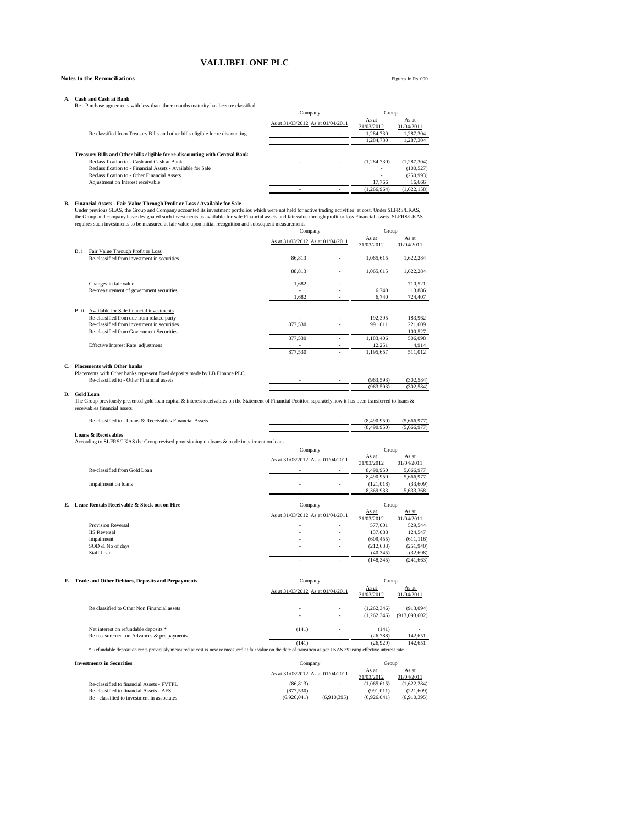## **Notes to the Reconciliations** Figures in Rs.'000

**A. Cash and Cash at Bank** Re - Purchase agreements with less than three months maturity has been re classified.

|                                                                               | Company                           |                          | Group         |               |
|-------------------------------------------------------------------------------|-----------------------------------|--------------------------|---------------|---------------|
|                                                                               | As at 31/03/2012 As at 01/04/2011 |                          | As at         | As at         |
|                                                                               |                                   |                          | 31/03/2012    | 01/04/2011    |
| Re classified from Treasury Bills and other bills eligible for re discounting | $\overline{\phantom{a}}$          |                          | 1.284.730     | 1.287.304     |
|                                                                               |                                   |                          | 1.284.730     | 1,287,304     |
|                                                                               |                                   |                          |               |               |
| Treasury Bills and Other bills eligible for re-discounting with Central Bank  |                                   |                          |               |               |
| Reclassification to - Cash and Cash at Bank                                   | $\overline{\phantom{a}}$          | ۰                        | (1, 284, 730) | (1, 287, 304) |
| Reclassification to - Financial Assets - Available for Sale                   |                                   |                          | ۰             | (100, 527)    |
| Reclassification to - Other Financial Assets                                  |                                   |                          | ۰             | (250,993)     |
| Adjustment on Interest receivable                                             |                                   |                          | 17.766        | 16,666        |
|                                                                               |                                   | $\overline{\phantom{a}}$ | (1.266.964)   | (1,622,158)   |
|                                                                               |                                   |                          |               |               |

#### **B. Financial Assets - Fair Value Through Profit or Loss / Available for Sale**

Under previous SLAS, the Group and Company accounted its investment portfolios which were not held for active trading activities at cost. Under SLFRS/LKAS,<br>the Group and company have designated such investments as availabl

|              |                                                                                                                                                                        | Company                           |    | Group                      |               |
|--------------|------------------------------------------------------------------------------------------------------------------------------------------------------------------------|-----------------------------------|----|----------------------------|---------------|
|              |                                                                                                                                                                        | As at 31/03/2012 As at 01/04/2011 |    | As at                      | As at         |
|              |                                                                                                                                                                        |                                   |    | 31/03/2012                 | 01/04/2011    |
| B.i          | Fair Value Through Profit or Loss                                                                                                                                      |                                   |    |                            |               |
|              | Re-classified from investment in securities                                                                                                                            | 86,813                            |    | 1,065,615                  | 1,622,284     |
|              |                                                                                                                                                                        | 88,813                            | ä, | 1,065,615                  | 1,622,284     |
|              | Changes in fair value                                                                                                                                                  | 1.682                             | ä  | ä,                         | 710.521       |
|              | Re-measurement of government securities                                                                                                                                |                                   |    | 6,740                      | 13,886        |
|              |                                                                                                                                                                        | 1.682                             | ä, | 6,740                      | 724,407       |
|              |                                                                                                                                                                        |                                   |    |                            |               |
|              | B. ii Available for Sale financial investments                                                                                                                         |                                   |    |                            |               |
|              | Re-classified from due from related party                                                                                                                              |                                   |    | 192,395                    | 183,962       |
|              | Re-classified from investment in securities                                                                                                                            | 877,530                           |    | 991,011                    | 221,609       |
|              | Re-classified from Government Securities                                                                                                                               |                                   |    |                            | 100,527       |
|              |                                                                                                                                                                        | 877,530                           |    | 1.183.406                  | 506,098       |
|              | Effective Interest Rate adjustment                                                                                                                                     |                                   | ×, | 12,251                     | 4,914         |
|              |                                                                                                                                                                        | 877,530                           | i, | 1,195,657                  | 511,012       |
|              |                                                                                                                                                                        |                                   |    |                            |               |
|              | C. Placements with Other banks                                                                                                                                         |                                   |    |                            |               |
|              | Placements with Other banks represent fixed deposits made by LB Finance PLC.                                                                                           |                                   |    |                            |               |
|              | Re-classified to - Other Financial assets                                                                                                                              |                                   |    | (963, 593)                 | (302, 584)    |
|              |                                                                                                                                                                        |                                   |    | (963, 593)                 | (302, 584)    |
| D. Gold Loan |                                                                                                                                                                        |                                   |    |                            |               |
|              | The Group previously presented gold loan capital $\&$ interest receivables on the Statement of Financial Position separately now it has been transferred to loans $\&$ |                                   |    |                            |               |
|              | receivables financial assets.                                                                                                                                          |                                   |    |                            |               |
|              | Re-classified to - Loans & Receivables Financial Assets                                                                                                                |                                   |    |                            |               |
|              |                                                                                                                                                                        |                                   |    | (8,490,950)<br>(8,490,950) | (5,666,977)   |
|              | <b>Loans &amp; Receivables</b>                                                                                                                                         |                                   |    |                            | (5,666,977)   |
|              |                                                                                                                                                                        |                                   |    |                            |               |
|              | According to SLFRS/LKAS the Group revised provisioning on loans & made impairment on loans.                                                                            |                                   |    |                            |               |
|              |                                                                                                                                                                        | Company                           |    | Group                      |               |
|              |                                                                                                                                                                        | As at 31/03/2012 As at 01/04/2011 |    | As at                      | As at         |
|              |                                                                                                                                                                        |                                   |    | 31/03/2012                 | 01/04/2011    |
|              | Re-classified from Gold Loan                                                                                                                                           |                                   |    | 8,490,950                  | 5,666,977     |
|              |                                                                                                                                                                        |                                   |    | 8,490,950                  | 5,666,977     |
|              | Impairment on loans                                                                                                                                                    |                                   | í. | (121, 018)                 | (33,609)      |
|              |                                                                                                                                                                        | ÷                                 | ÷  | 8,369,933                  | 5.633.368     |
|              |                                                                                                                                                                        |                                   |    |                            |               |
|              | E. Lease Rentals Receivable & Stock out on Hire                                                                                                                        | Company                           |    | Group                      |               |
|              |                                                                                                                                                                        | As at 31/03/2012 As at 01/04/2011 |    | As at                      | As at         |
|              |                                                                                                                                                                        |                                   |    | 31/03/2012                 | 01/04/2011    |
|              | <b>Provision Reversal</b>                                                                                                                                              |                                   |    | 577,001                    | 529,544       |
|              | <b>IIS Reversal</b>                                                                                                                                                    |                                   |    | 137,088                    | 124,547       |
|              | Impairment                                                                                                                                                             |                                   |    | (609, 455)                 | (611, 116)    |
|              | SOD & No of days                                                                                                                                                       |                                   |    | (212, 633)                 | (251,940)     |
|              | Staff Loan                                                                                                                                                             |                                   |    | (40, 345)                  | (32, 698)     |
|              |                                                                                                                                                                        |                                   |    | (148, 345)                 | (241, 663)    |
|              |                                                                                                                                                                        |                                   |    |                            |               |
|              |                                                                                                                                                                        |                                   |    |                            |               |
|              | F. Trade and Other Debtors, Deposits and Prepayments                                                                                                                   | Company                           |    | Group                      |               |
|              |                                                                                                                                                                        | As at 31/03/2012 As at 01/04/2011 |    | As at                      | As at         |
|              |                                                                                                                                                                        |                                   |    | 31/03/2012                 | 01/04/2011    |
|              |                                                                                                                                                                        |                                   |    |                            |               |
|              | Re classified to Other Non Financial assets                                                                                                                            |                                   |    | (1, 262, 346)              | (913,094)     |
|              |                                                                                                                                                                        |                                   |    | (1,262,346)                | (913,093,602) |
|              |                                                                                                                                                                        |                                   |    |                            |               |

(141) (26,929) 142,651<br>\* Refundable deposit on rents previously measured at cost is now re measured at fair value on the date of transition as per LKAS 39 using effective interest rate. **Investments in Securities** Company Group

|                                             | As at 31/03/2012 As at 01/04/2011 |             | As at<br>31/03/2012 | As at<br>01/04/2011 |
|---------------------------------------------|-----------------------------------|-------------|---------------------|---------------------|
| Re-classified to financial Assets - FVTPL   | (86.813)                          | $\sim$      | (1.065.615)         | (1.622.284)         |
| Re-classified to financial Assets - AFS     | (877.530)                         | $\sim$      | (991.011)           | (221.609)           |
| Re - classified to investment in associates | (6.926.041)                       | (6.910.395) | (6.926.041)         | (6.910.395)         |

Net interest on refundable deposits \* (141) (141) (141) - (141) (141) - (141) - (16788) 142,651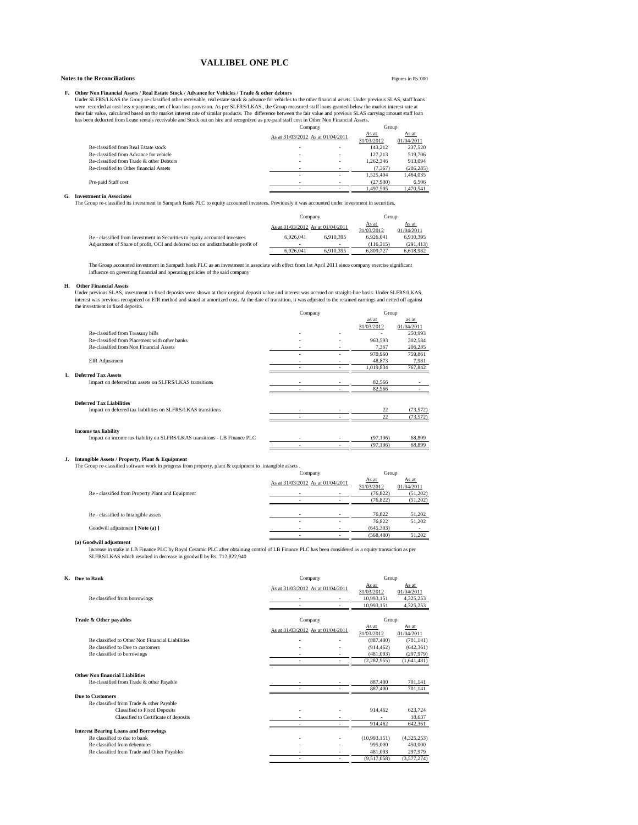#### **Notes to the Reconciliations** Figures in Rs.'000

Group

Company Group

F. Other Non Financial Assets / Real Estate Stock / Advance for Vehicles / Trade & other debtors<br>Under SLFRS/LKAS the Group re-classified other receivable, real estate stock & advance for vehicles to the other financial as were recorded at cost less repayments, net of Ioan Ioss provision. As per SLFRS/LKAS, the Group measured staff Ioans granted below the market interest rate at their fair value, calculated based on the market interest rate

|                                          | Company                           |   | Group     |            |  |
|------------------------------------------|-----------------------------------|---|-----------|------------|--|
|                                          | As at 31/03/2012 As at 01/04/2011 |   | As at     | As at      |  |
|                                          |                                   |   |           | 01/04/2011 |  |
| Re-classified from Real Estate stock     | ۰                                 | - | 143.212   | 237.520    |  |
| Re-classified from Advance for vehicle   | ۰                                 | - | 127.213   | 519,706    |  |
| Re-classified from Trade & other Debtors | ۰                                 | - | 1.262.346 | 913.094    |  |
| Re-classified to Other financial Assets  | ۰                                 |   | (7.367)   | (206, 285) |  |
|                                          | ٠                                 | - | 1.525.404 | 1.464.035  |  |
| Pre-paid Staff cost                      | ۰                                 | - | (27.900)  | 6.506      |  |
|                                          | -                                 | - | 1.497.505 | 1.470.541  |  |

#### **G. Investment in Associates**

The Group re-classified its investment in Sampath Bank PLC to equity accounted investees. Previously it was accounted under investment in securities.

|                                                                                  | Company                           |           | Group               |                     |
|----------------------------------------------------------------------------------|-----------------------------------|-----------|---------------------|---------------------|
|                                                                                  | As at 31/03/2012 As at 01/04/2011 |           | As at<br>31/03/2012 | As at<br>01/04/2011 |
| Re - classified from Investment in Securities to equity accounted investees      | 6.926.041                         | 6.910.395 | 6.926.041           | 6.910.395           |
| Adjustment of Share of profit, OCI and deferred tax on undistributable profit of | $\overline{\phantom{a}}$          |           | (116.315)           | (291.413)           |
|                                                                                  | 6.926.041                         | 6.910.395 | 6.809.727           | 6.618.982           |

The Group accounted investment in Sampath bank PLC as an investment in associate with effect from 1st April 2011 since company exercise significant influence on governing financial and operating policies of the said company

#### **H. Other Financial Assets**

Under previous SLAS, investment in fixed deposits were shown at their original deposit value and interest was accrued on straight-line basis. Under SLFRS/LKAS, interest was previous recognized on EIR method and stated at a

|                                                                                                          | Company |   | Group      |            |
|----------------------------------------------------------------------------------------------------------|---------|---|------------|------------|
|                                                                                                          |         |   | as at      | as at      |
|                                                                                                          |         |   | 31/03/2012 | 01/04/2011 |
| Re-classified from Treasury bills                                                                        | ۰       | ۰ |            | 250,993    |
| Re-classified from Placement with other banks                                                            |         |   | 963,593    | 302,584    |
| Re-classified from Non Financial Assets                                                                  |         |   | 7.367      | 206,285    |
|                                                                                                          | ٠       |   | 970,960    | 759,861    |
| <b>EIR</b> Adjustment                                                                                    | ٠       | ۰ | 48.873     | 7.981      |
|                                                                                                          |         |   | 1,019,834  | 767,842    |
| <b>Deferred Tax Assets</b>                                                                               |         |   |            |            |
| Impact on deferred tax assets on SLFRS/LKAS transitions                                                  | ٠       |   | 82,566     |            |
|                                                                                                          |         |   | 82,566     |            |
| <b>Deferred Tax Liabilities</b>                                                                          |         |   |            |            |
| Impact on deferred tax liabilities on SLFRS/LKAS transitions                                             | ۰       | ٠ | 22         | (73, 572)  |
|                                                                                                          | ٠       |   | 22         | (73, 572)  |
|                                                                                                          |         |   |            |            |
| <b>Income tax liability</b><br>Impact on income tax liability on SLFRS/LKAS transitions - LB Finance PLC | ٠       | ٠ | (97, 196)  | 68,899     |
|                                                                                                          | ٠       | ٠ | (97, 196)  | 68.899     |

#### **J. Intangible Assets / Property, Plant & Equipment**

The Group re-classified software work in progress from property, plant & equipment to intangible assets . Company

|                                                   | Company                           |   | <b>SIGUD</b>        |                     |  |
|---------------------------------------------------|-----------------------------------|---|---------------------|---------------------|--|
|                                                   | As at 31/03/2012 As at 01/04/2011 |   | As at<br>31/03/2012 | As at<br>01/04/2011 |  |
| Re - classified from Property Plant and Equipment |                                   |   | (76.822)            | (51,202)            |  |
|                                                   | -                                 |   | (76.822)            | (51,202)            |  |
|                                                   |                                   |   |                     |                     |  |
| Re - classified to Intangible assets              | ۰                                 |   | 76.822              | 51,202              |  |
|                                                   | -                                 | - | 76.822              | 51,202              |  |
| Goodwill adjustment [ Note (a) ]                  |                                   |   | (645, 303)          |                     |  |
|                                                   |                                   |   | (568, 480)          | 51,202              |  |

#### **(a) Goodwill adjustment**

Increase in stake in LB Finance PLC by Royal Ceramic PLC after obtaining control of LB Finance PLC has been considered as a equity transaction as per SLFRS/LKAS which resulted in decrease in goodwill by Rs. 712,822,940

#### **K. Due to Bank**

|                                                  | As at 31/03/2012 As at 01/04/2011 |  | As at         | As at       |
|--------------------------------------------------|-----------------------------------|--|---------------|-------------|
|                                                  |                                   |  | 31/03/2012    | 01/04/2011  |
| Re classified from borrowings                    |                                   |  | 10.993.151    | 4,325,253   |
|                                                  |                                   |  | 10.993.151    | 4,325,253   |
|                                                  |                                   |  |               |             |
| Trade & Other payables                           | Company                           |  | Group         |             |
|                                                  | As at 31/03/2012 As at 01/04/2011 |  | As at         | As at       |
|                                                  |                                   |  | 31/03/2012    | 01/04/2011  |
| Re classified to Other Non Financial Liabilities |                                   |  | (887, 400)    | (701, 141)  |
| Re classified to Due to customers                |                                   |  | (914, 462)    | (642, 361)  |
| Re classified to borrowings                      |                                   |  | (481,093)     | (297, 979)  |
|                                                  |                                   |  | (2, 282, 955) | (1,641,481) |
|                                                  |                                   |  |               |             |
| <b>Other Non financial Liabilities</b>           |                                   |  |               |             |
| Re-classified from Trade & other Payable         |                                   |  | 887.400       | 701,141     |
|                                                  |                                   |  | 887,400       | 701,141     |
| <b>Due to Customers</b>                          |                                   |  |               |             |
| Re classified from Trade & other Payable         |                                   |  |               |             |
| <b>Classified to Fixed Deposits</b>              | ٠                                 |  | 914.462       | 623,724     |
| Classified to Certificate of deposits            |                                   |  | ٠             | 18,637      |
|                                                  |                                   |  | 914,462       | 642,361     |
| <b>Interest Bearing Loans and Borrowings</b>     |                                   |  |               |             |
| Re classified to due to bank                     | ٠                                 |  | (10,993,151)  | (4,325,253) |
| Re classified from debentures                    |                                   |  | 995,000       | 450,000     |
| Re classified from Trade and Other Payables      | ٠                                 |  | 481.093       | 297,979     |
|                                                  | ٠                                 |  | (9,517,058)   | (3,577,274) |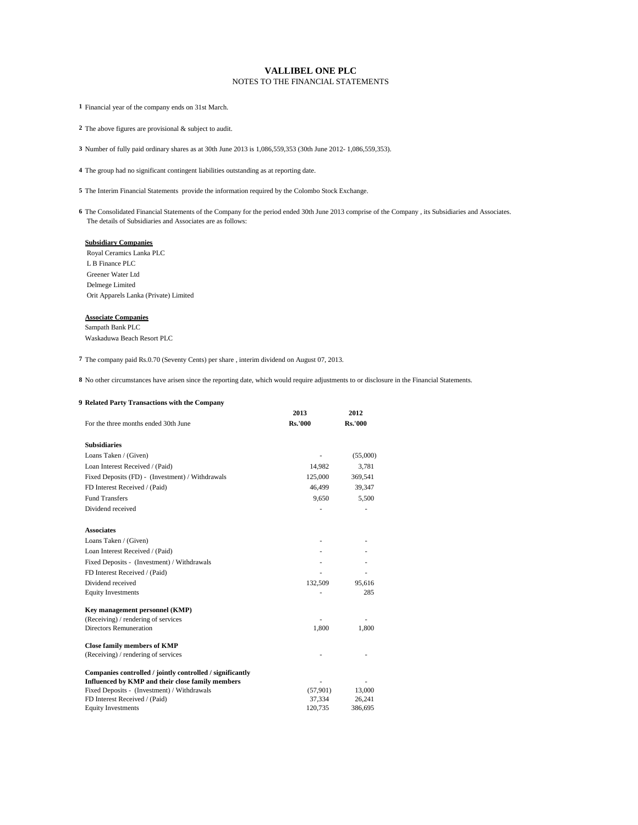#### **VALLIBEL ONE PLC** NOTES TO THE FINANCIAL STATEMENTS

**1** Financial year of the company ends on 31st March.

**2** The above figures are provisional & subject to audit.

**3** Number of fully paid ordinary shares as at 30th June 2013 is 1,086,559,353 (30th June 2012- 1,086,559,353).

**4** The group had no significant contingent liabilities outstanding as at reporting date.

**5** The Interim Financial Statements provide the information required by the Colombo Stock Exchange.

**6** The Consolidated Financial Statements of the Company for the period ended 30th June 2013 comprise of the Company , its Subsidiaries and Associates. The details of Subsidiaries and Associates are as follows:

#### **Subsidiary Companies**

 Royal Ceramics Lanka PLC L B Finance PLC Greener Water Ltd Delmege Limited Orit Apparels Lanka (Private) Limited

#### **Associate Companies**

Sampath Bank PLC Waskaduwa Beach Resort PLC

**7** The company paid Rs.0.70 (Seventy Cents) per share , interim dividend on August 07, 2013.

**8** No other circumstances have arisen since the reporting date, which would require adjustments to or disclosure in the Financial Statements.

#### **9 Related Party Transactions with the Company**

|                                                           | 2013           | 2012           |
|-----------------------------------------------------------|----------------|----------------|
| For the three months ended 30th June                      | <b>Rs.'000</b> | <b>Rs.'000</b> |
|                                                           |                |                |
| <b>Subsidiaries</b>                                       |                |                |
| Loans Taken / (Given)                                     |                | (55,000)       |
| Loan Interest Received / (Paid)                           | 14,982         | 3,781          |
| Fixed Deposits (FD) - (Investment) / Withdrawals          | 125,000        | 369,541        |
| FD Interest Received / (Paid)                             | 46.499         | 39,347         |
| <b>Fund Transfers</b>                                     | 9,650          | 5,500          |
| Dividend received                                         |                |                |
| <b>Associates</b>                                         |                |                |
| Loans Taken / (Given)                                     | $\bar{ }$      |                |
| Loan Interest Received / (Paid)                           |                |                |
| Fixed Deposits - (Investment) / Withdrawals               |                |                |
| FD Interest Received / (Paid)                             |                |                |
| Dividend received                                         | 132,509        | 95.616         |
| <b>Equity Investments</b>                                 |                | 285            |
| Key management personnel (KMP)                            |                |                |
| (Receiving) / rendering of services                       |                |                |
| <b>Directors Remuneration</b>                             | 1,800          | 1,800          |
| <b>Close family members of KMP</b>                        |                |                |
| (Receiving) / rendering of services                       |                |                |
| Companies controlled / jointly controlled / significantly |                |                |
| Influenced by KMP and their close family members          |                |                |
| Fixed Deposits - (Investment) / Withdrawals               | (57,901)       | 13,000         |
| FD Interest Received / (Paid)                             | 37,334         | 26,241         |
| <b>Equity Investments</b>                                 | 120,735        | 386,695        |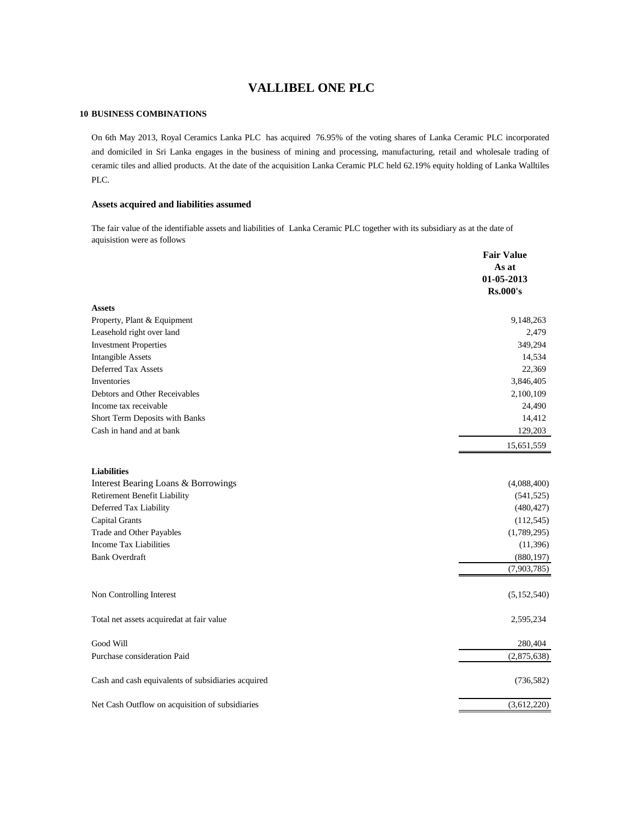#### **10 BUSINESS COMBINATIONS**

On 6th May 2013, Royal Ceramics Lanka PLC has acquired 76.95% of the voting shares of Lanka Ceramic PLC incorporated and domiciled in Sri Lanka engages in the business of mining and processing, manufacturing, retail and wholesale trading of ceramic tiles and allied products. At the date of the acquisition Lanka Ceramic PLC held 62.19% equity holding of Lanka Walltiles PLC.

## **Assets acquired and liabilities assumed**

The fair value of the identifiable assets and liabilities of Lanka Ceramic PLC together with its subsidiary as at the date of aquisistion were as follows

|                                                    | <b>Fair Value</b><br>As at<br>01-05-2013<br><b>Rs.000's</b> |
|----------------------------------------------------|-------------------------------------------------------------|
| <b>Assets</b>                                      |                                                             |
| Property, Plant & Equipment                        | 9,148,263                                                   |
| Leasehold right over land                          | 2,479                                                       |
| <b>Investment Properties</b>                       | 349,294                                                     |
| <b>Intangible Assets</b>                           | 14,534                                                      |
| Deferred Tax Assets                                | 22,369                                                      |
| <b>Inventories</b>                                 | 3,846,405                                                   |
| Debtors and Other Receivables                      | 2,100,109                                                   |
| Income tax receivable                              | 24,490                                                      |
| Short Term Deposits with Banks                     | 14,412                                                      |
| Cash in hand and at bank                           | 129,203                                                     |
|                                                    | 15,651,559                                                  |
| <b>Liabilities</b>                                 |                                                             |
| Interest Bearing Loans & Borrowings                | (4,088,400)                                                 |
| Retirement Benefit Liability                       | (541, 525)                                                  |
| Deferred Tax Liability                             | (480, 427)                                                  |
| <b>Capital Grants</b>                              | (112, 545)                                                  |
| Trade and Other Payables                           | (1,789,295)                                                 |
| <b>Income Tax Liabilities</b>                      | (11,396)                                                    |
| <b>Bank Overdraft</b>                              | (880, 197)                                                  |
|                                                    | (7,903,785)                                                 |
| Non Controlling Interest                           | (5, 152, 540)                                               |
| Total net assets acquiredat at fair value          | 2,595,234                                                   |
| Good Will                                          | 280,404                                                     |
| Purchase consideration Paid                        | (2,875,638)                                                 |
| Cash and cash equivalents of subsidiaries acquired | (736, 582)                                                  |
| Net Cash Outflow on acquisition of subsidiaries    | (3,612,220)                                                 |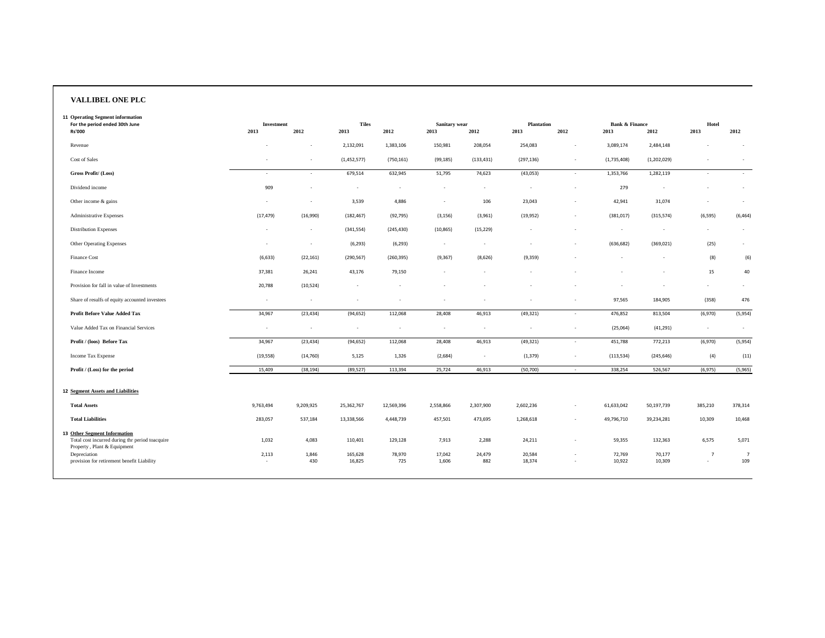| 11 Operating Segment information<br>For the period ended 30th June<br><b>Rs'000</b>                            | Investment<br>2013 | 2012         | <b>Tiles</b><br>2013 | 2012          | Sanitary wear<br>2013    | 2012          | <b>Plantation</b><br>2013 | 2012                     | <b>Bank &amp; Finance</b><br>2013 | 2012             | Hotel<br>2013            | 2012                  |
|----------------------------------------------------------------------------------------------------------------|--------------------|--------------|----------------------|---------------|--------------------------|---------------|---------------------------|--------------------------|-----------------------------------|------------------|--------------------------|-----------------------|
| Revenue                                                                                                        |                    |              | 2,132,091            | 1,383,106     | 150,981                  | 208,054       | 254,083                   | $\sim$                   | 3,089,174                         | 2,484,148        |                          |                       |
| Cost of Sales                                                                                                  |                    |              | (1,452,577)          | (750, 161)    | (99, 185)                | (133, 431)    | (297, 136)                | $\sim$                   | (1,735,408)                       | (1,202,029)      |                          | $\overline{a}$        |
| <b>Gross Profit/ (Loss)</b>                                                                                    | $\sim$             | $\sim$       | 679,514              | 632,945       | 51,795                   | 74,623        | (43,053)                  | $\sim$                   | 1,353,766                         | 1,282,119        | $\sim$                   | $\sim$                |
| Dividend income                                                                                                | 909                |              | $\sim$               | $\sim$        | $\overline{\phantom{a}}$ | $\sim$        | $\overline{\phantom{a}}$  | $\sim$                   | 279                               | $\sim$           |                          | $\sim$                |
| Other income & gains                                                                                           | $\sim$             | $\sim$       | 3,539                | 4,886         | $\sim$                   | 106           | 23,043                    | $\sim$                   | 42,941                            | 31,074           | $\sim$                   | $\sim$                |
| Administrative Expenses                                                                                        | (17, 479)          | (16,990)     | (182, 467)           | (92, 795)     | (3, 156)                 | (3,961)       | (19,952)                  | $\sim$                   | (381, 017)                        | (315, 574)       | (6, 595)                 | (6, 464)              |
| <b>Distribution Expenses</b>                                                                                   | $\sim$             | $\sim$       | (341, 554)           | (245, 430)    | (10, 865)                | (15, 229)     | $\overline{\phantom{a}}$  | $\overline{\phantom{a}}$ | $\sim$                            | $\sim$           | $\sim$                   | $\sim$                |
| Other Operating Expenses                                                                                       | $\sim$             | $\sim$       | (6, 293)             | (6, 293)      | $\sim$                   | $\sim$        | $\sim$                    | $\sim$                   | (636, 682)                        | (369, 021)       | (25)                     | $\sim$                |
| Finance Cost                                                                                                   | (6, 633)           | (22, 161)    | (290, 567)           | (260, 395)    | (9, 367)                 | (8,626)       | (9, 359)                  |                          | $\sim$                            | $\sim$           | (8)                      | (6)                   |
| Finance Income                                                                                                 | 37,381             | 26,241       | 43,176               | 79,150        | ٠                        |               |                           |                          |                                   | ×.               | 15                       | 40                    |
| Provision for fall in value of Investments                                                                     | 20,788             | (10, 524)    | $\sim$               |               |                          |               |                           |                          | $\sim$                            | ×.               | $\overline{\phantom{a}}$ | $\sim$                |
| Share of resulfs of equity accounted investees                                                                 | $\sim$             | $\sim$       |                      |               |                          |               |                           |                          | 97,565                            | 184,905          | (358)                    | 476                   |
| <b>Profit Before Value Added Tax</b>                                                                           | 34,967             | (23, 434)    | (94, 652)            | 112,068       | 28,408                   | 46,913        | (49, 321)                 | ×,                       | 476,852                           | 813,504          | (6,970)                  | (5,954)               |
| Value Added Tax on Financial Services                                                                          | $\sim$             | $\sim$       | $\sim$               | $\sim$        | $\sim$                   | $\sim$        | $\overline{\phantom{a}}$  | $\overline{\phantom{a}}$ | (25,064)                          | (41, 291)        | $\sim$                   | $\sim$                |
| Profit / (loos) Before Tax                                                                                     | 34,967             | (23, 434)    | (94, 652)            | 112,068       | 28,408                   | 46,913        | (49, 321)                 | $\sim$                   | 451,788                           | 772,213          | (6,970)                  | (5,954)               |
| Income Tax Expense                                                                                             | (19, 558)          | (14, 760)    | 5,125                | 1,326         | (2,684)                  | $\sim$        | (1, 379)                  | $\sim$                   | (113, 534)                        | (245, 646)       | (4)                      | (11)                  |
| Profit / (Loss) for the period                                                                                 | 15,409             | (38, 194)    | (89, 527)            | 113,394       | 25,724                   | 46,913        | (50, 700)                 | $\sim$                   | 338,254                           | 526,567          | (6,975)                  | (5,965)               |
| <b>12 Segment Assets and Liabilities</b>                                                                       |                    |              |                      |               |                          |               |                           |                          |                                   |                  |                          |                       |
| <b>Total Assets</b>                                                                                            | 9,763,494          | 9,209,925    | 25,362,767           | 12,569,396    | 2,558,866                | 2,307,900     | 2,602,236                 | ٠                        | 61,633,042                        | 50,197,739       | 385,210                  | 378,314               |
| <b>Total Liabilities</b>                                                                                       | 283,057            | 537,184      | 13,338,566           | 4,448,739     | 457,501                  | 473,695       | 1,268,618                 | $\sim$                   | 49,796,710                        | 39,234,281       | 10,309                   | 10,468                |
| 13 Other Segment Information<br>Total cost incurred during thr period toacquire<br>Property, Plant & Equipment | 1,032              | 4,083        | 110,401              | 129,128       | 7,913                    | 2,288         | 24,211                    | $\sim$                   | 59,355                            | 132,363          | 6,575                    | 5,071                 |
| Depreciation<br>provision for retirement benefit Liability                                                     | 2,113<br>$\sim$    | 1,846<br>430 | 165,628<br>16,825    | 78,970<br>725 | 17,042<br>1,606          | 24,479<br>882 | 20,584<br>18,374          | $\sim$                   | 72,769<br>10,922                  | 70,177<br>10,309 | $\overline{7}$<br>٠      | $\overline{7}$<br>109 |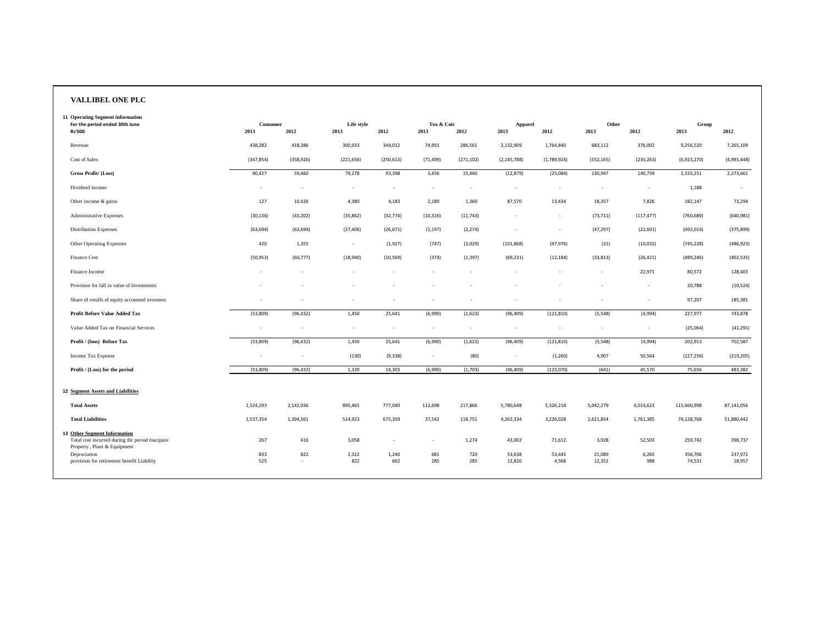| <b>VALLIBEL ONE PLC</b>                                                                                        |                          |               |                    |              |                    |            |                  |                 |                          |              |                   |                   |
|----------------------------------------------------------------------------------------------------------------|--------------------------|---------------|--------------------|--------------|--------------------|------------|------------------|-----------------|--------------------------|--------------|-------------------|-------------------|
| 11 Operating Segment information<br>For the period ended 30th June<br><b>Rs'000</b>                            | Consumer<br>2013         | 2012          | Life style<br>2013 | 2012         | Tea & Coir<br>2013 | 2012       | Apparel<br>2013  | 2012            | Other<br>2013            | 2012         | Group<br>2013     | 2012              |
| Revenue                                                                                                        | 438,282                  | 418,386       | 300,933            | 344,012      | 74,955             | 286,561    | 2,132,909        | 1,764,840       | 683,112                  | 376,002      | 9,256,520         | 7,265,109         |
| Cost of Sales                                                                                                  | (347, 854)               | (358, 926)    | (221, 656)         | (250, 613)   | (71, 499)          | (271, 102) | (2, 145, 788)    | (1,789,924)     | (552, 165)               | (235, 263)   | (6,923,270)       | (4,991,448)       |
| Gross Profit/ (Loss)                                                                                           | 90,427                   | 59,460        | 79,278             | 93,398       | 3,456              | 15,460     | (12, 879)        | (25,084)        | 130,947                  | 140,739      | 2,333,251         | 2,273,661         |
| Dividend income                                                                                                | $\overline{\phantom{a}}$ | $\sim$        | $\sim$             | $\sim$       | $\sim$             | $\sim$     | $\sim$           | $\sim$          | $\overline{\phantom{a}}$ | $\sim$       | 1,188             | $\sim$            |
| Other income & gains                                                                                           | 127                      | 10,426        | 4,380              | 4,183        | 2,189              | 1,360      | 87,570           | 13,434          | 18,357                   | 7,826        | 182,147           | 73,294            |
| Administrative Expenses                                                                                        | (30, 136)                | (43, 202)     | (35, 862)          | (32, 774)    | (10, 316)          | (11, 743)  |                  | $\sim$          | (73, 711)                | (117, 477)   | (760, 689)        | (640, 981)        |
| <b>Distribution Expenses</b>                                                                                   | (63, 694)                | (63, 694)     | (27, 406)          | (26, 671)    | (1, 197)           | (2, 274)   | $\sim$           | $\sim$          | (47, 297)                | (22, 601)    | (492, 014)        | (375, 899)        |
| <b>Other Operating Expenses</b>                                                                                | 420                      | 1,355         | $\sim$             | (1,927)      | (747)              | (3,029)    | (101, 868)       | (97, 976)       | (31)                     | (10,032)     | (745, 228)        | (486, 923)        |
| <b>Finance Cost</b>                                                                                            | (50, 953)                | (60, 777)     | (18,940)           | (10, 569)    | (374)              | (1, 397)   | (69, 231)        | (12, 184)       | (33, 813)                | (26, 421)    | (489, 246)        | (402, 535)        |
| Finance Income                                                                                                 |                          |               |                    |              |                    |            |                  |                 |                          | 22,971       | 80,572            | 128,403           |
| Provision for fall in value of Investments                                                                     |                          |               |                    |              |                    |            |                  |                 |                          | $\sim$       | 20,788            | (10, 524)         |
| Share of resulfs of equity accounted investees                                                                 |                          |               |                    |              |                    |            |                  |                 |                          | $\sim$       | 97,207            | 185,381           |
| <b>Profit Before Value Added Tax</b>                                                                           | (53,809)                 | (96, 432)     | 1,450              | 25,641       | (6,990)            | (1,623)    | (96, 409)        | (121, 810)      | (5, 548)                 | (4,994)      | 227,977           | 743,878           |
| Value Added Tax on Financial Services                                                                          | ٠                        |               | $\sim$             |              | $\sim$             | ٠          |                  |                 | $\sim$                   | $\sim$       | (25,064)          | (41, 291)         |
| Profit / (loos) Before Tax                                                                                     | (53,809)                 | (96, 432)     | 1,450              | 25,641       | (6,990)            | (1,623)    | (96, 409)        | (121, 810)      | (5, 548)                 | (4,994)      | 202,913           | 702,587           |
| Income Tax Expense                                                                                             | $\sim$                   | $\sim$        | (130)              | (9, 338)     | $\sim$             | (80)       | $\sim$           | (1,260)         | 4,907                    | 50,564       | (127, 256)        | (219, 205)        |
| Profit / (Loss) for the period                                                                                 | (53.809)                 | (96, 432)     | 1,320              | 16,303       | (6,990)            | (1,703)    | (96, 409)        | (123,070)       | (641)                    | 45,570       | 75,656            | 483,382           |
| <b>12 Segment Assets and Liabilities</b>                                                                       |                          |               |                    |              |                    |            |                  |                 |                          |              |                   |                   |
| <b>Total Assets</b>                                                                                            | 1,524,293                | 2,142,036     | 895,465            | 777,040      | 112,698            | 217,866    | 5,780,648        | 5,326,218       | 5,042,279                | 4,014,623    | 115,660,998       | 87,141,056        |
| <b>Total Liabilities</b>                                                                                       | 1,537,354                | 1,394,561     | 514,923            | 675,350      | 37,542             | 118,751    | 4,262,334        | 3,226,028       | 2,621,854                | 1,761,385    | 74,128,768        | 51,880,442        |
| 13 Other Segment Information<br>Total cost incurred during thr period toacquire<br>Property, Plant & Equipment | 267                      | 416           | 3,058              | $\sim$       | $\sim$             | 1,274      | 43,002           | 71,612          | 3,928                    | 52,503       | 259,742           | 398,737           |
| Depreciation<br>provision for retirement benefit Liability                                                     | 833<br>525               | 822<br>$\sim$ | 2,322<br>822       | 1,240<br>662 | 681<br>285         | 720<br>285 | 53,638<br>12,820 | 53,445<br>4,568 | 21,089<br>12,352         | 6,265<br>988 | 356,706<br>74,531 | 237,972<br>18,957 |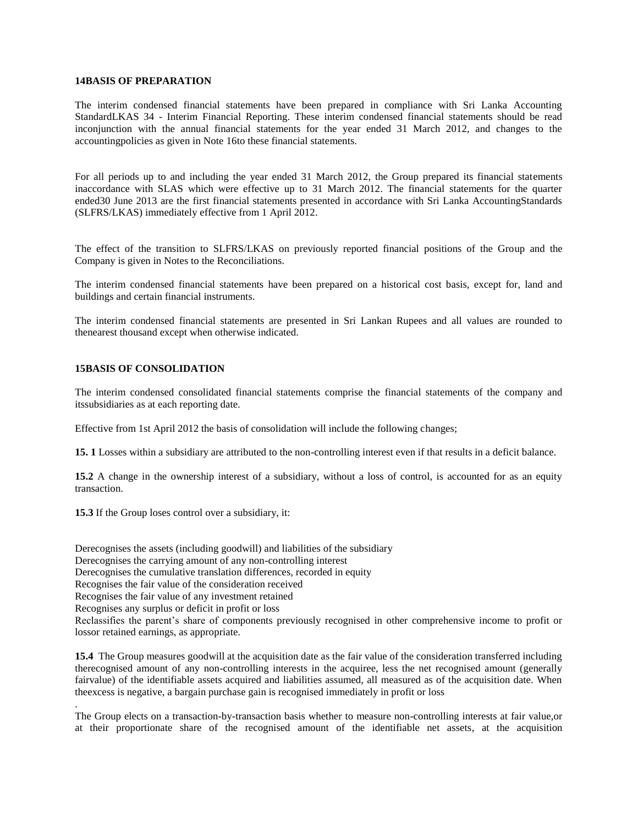#### **14BASIS OF PREPARATION**

The interim condensed financial statements have been prepared in compliance with Sri Lanka Accounting StandardLKAS 34 - Interim Financial Reporting. These interim condensed financial statements should be read inconjunction with the annual financial statements for the year ended 31 March 2012, and changes to the accountingpolicies as given in Note 16to these financial statements.

For all periods up to and including the year ended 31 March 2012, the Group prepared its financial statements inaccordance with SLAS which were effective up to 31 March 2012. The financial statements for the quarter ended30 June 2013 are the first financial statements presented in accordance with Sri Lanka AccountingStandards (SLFRS/LKAS) immediately effective from 1 April 2012.

The effect of the transition to SLFRS/LKAS on previously reported financial positions of the Group and the Company is given in Notes to the Reconciliations.

The interim condensed financial statements have been prepared on a historical cost basis, except for, land and buildings and certain financial instruments.

The interim condensed financial statements are presented in Sri Lankan Rupees and all values are rounded to thenearest thousand except when otherwise indicated.

## **15BASIS OF CONSOLIDATION**

.

The interim condensed consolidated financial statements comprise the financial statements of the company and itssubsidiaries as at each reporting date.

Effective from 1st April 2012 the basis of consolidation will include the following changes;

**15. 1** Losses within a subsidiary are attributed to the non-controlling interest even if that results in a deficit balance.

**15.2** A change in the ownership interest of a subsidiary, without a loss of control, is accounted for as an equity transaction.

**15.3** If the Group loses control over a subsidiary, it:

Derecognises the assets (including goodwill) and liabilities of the subsidiary Derecognises the carrying amount of any non-controlling interest Derecognises the cumulative translation differences, recorded in equity Recognises the fair value of the consideration received Recognises the fair value of any investment retained Recognises any surplus or deficit in profit or loss Reclassifies the parent's share of components previously recognised in other comprehensive income to profit or lossor retained earnings, as appropriate.

**15.4** The Group measures goodwill at the acquisition date as the fair value of the consideration transferred including therecognised amount of any non-controlling interests in the acquiree, less the net recognised amount (generally fairvalue) of the identifiable assets acquired and liabilities assumed, all measured as of the acquisition date. When theexcess is negative, a bargain purchase gain is recognised immediately in profit or loss

The Group elects on a transaction-by-transaction basis whether to measure non-controlling interests at fair value,or at their proportionate share of the recognised amount of the identifiable net assets, at the acquisition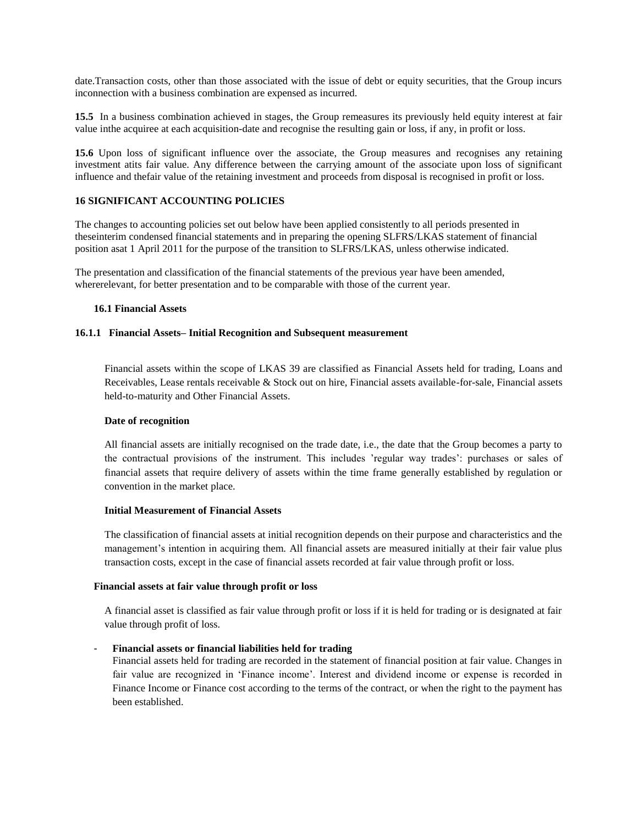date.Transaction costs, other than those associated with the issue of debt or equity securities, that the Group incurs inconnection with a business combination are expensed as incurred.

**15.5** In a business combination achieved in stages, the Group remeasures its previously held equity interest at fair value inthe acquiree at each acquisition-date and recognise the resulting gain or loss, if any, in profit or loss.

**15.6** Upon loss of significant influence over the associate, the Group measures and recognises any retaining investment atits fair value. Any difference between the carrying amount of the associate upon loss of significant influence and thefair value of the retaining investment and proceeds from disposal is recognised in profit or loss.

# **16 SIGNIFICANT ACCOUNTING POLICIES**

The changes to accounting policies set out below have been applied consistently to all periods presented in theseinterim condensed financial statements and in preparing the opening SLFRS/LKAS statement of financial position asat 1 April 2011 for the purpose of the transition to SLFRS/LKAS, unless otherwise indicated.

The presentation and classification of the financial statements of the previous year have been amended, whererelevant, for better presentation and to be comparable with those of the current year.

#### **16.1 Financial Assets**

#### **16.1.1 Financial Assets– Initial Recognition and Subsequent measurement**

Financial assets within the scope of LKAS 39 are classified as Financial Assets held for trading, Loans and Receivables, Lease rentals receivable & Stock out on hire, Financial assets available-for-sale, Financial assets held-to-maturity and Other Financial Assets.

#### **Date of recognition**

All financial assets are initially recognised on the trade date, i.e., the date that the Group becomes a party to the contractual provisions of the instrument. This includes 'regular way trades': purchases or sales of financial assets that require delivery of assets within the time frame generally established by regulation or convention in the market place.

#### **Initial Measurement of Financial Assets**

The classification of financial assets at initial recognition depends on their purpose and characteristics and the management's intention in acquiring them. All financial assets are measured initially at their fair value plus transaction costs, except in the case of financial assets recorded at fair value through profit or loss.

#### **Financial assets at fair value through profit or loss**

A financial asset is classified as fair value through profit or loss if it is held for trading or is designated at fair value through profit of loss.

#### - **Financial assets or financial liabilities held for trading**

Financial assets held for trading are recorded in the statement of financial position at fair value. Changes in fair value are recognized in 'Finance income'. Interest and dividend income or expense is recorded in Finance Income or Finance cost according to the terms of the contract, or when the right to the payment has been established.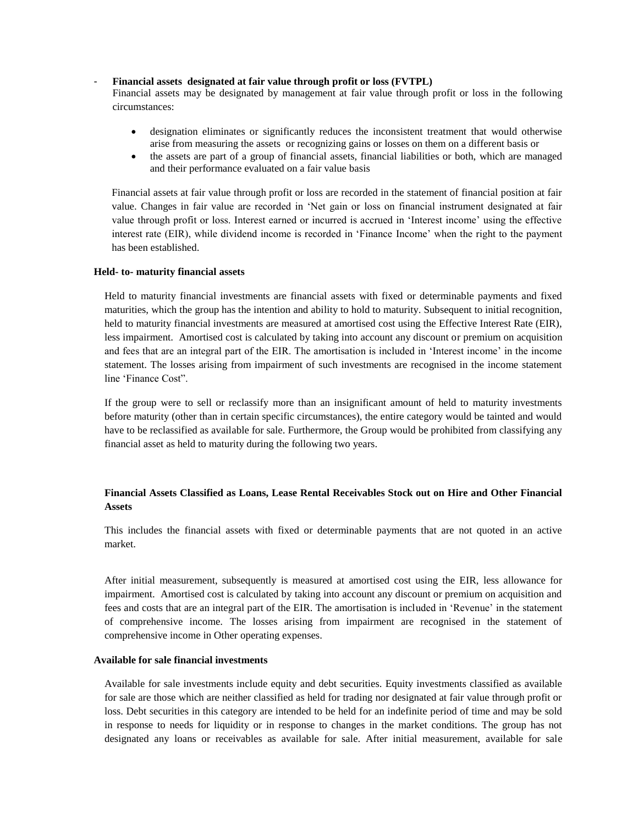#### - **Financial assets designated at fair value through profit or loss (FVTPL)**

Financial assets may be designated by management at fair value through profit or loss in the following circumstances:

- designation eliminates or significantly reduces the inconsistent treatment that would otherwise arise from measuring the assets or recognizing gains or losses on them on a different basis or
- the assets are part of a group of financial assets, financial liabilities or both, which are managed and their performance evaluated on a fair value basis

Financial assets at fair value through profit or loss are recorded in the statement of financial position at fair value. Changes in fair value are recorded in 'Net gain or loss on financial instrument designated at fair value through profit or loss. Interest earned or incurred is accrued in 'Interest income' using the effective interest rate (EIR), while dividend income is recorded in 'Finance Income' when the right to the payment has been established.

## **Held- to- maturity financial assets**

Held to maturity financial investments are financial assets with fixed or determinable payments and fixed maturities, which the group has the intention and ability to hold to maturity. Subsequent to initial recognition, held to maturity financial investments are measured at amortised cost using the Effective Interest Rate (EIR), less impairment. Amortised cost is calculated by taking into account any discount or premium on acquisition and fees that are an integral part of the EIR. The amortisation is included in 'Interest income' in the income statement. The losses arising from impairment of such investments are recognised in the income statement line 'Finance Cost".

If the group were to sell or reclassify more than an insignificant amount of held to maturity investments before maturity (other than in certain specific circumstances), the entire category would be tainted and would have to be reclassified as available for sale. Furthermore, the Group would be prohibited from classifying any financial asset as held to maturity during the following two years.

# **Financial Assets Classified as Loans, Lease Rental Receivables Stock out on Hire and Other Financial Assets**

This includes the financial assets with fixed or determinable payments that are not quoted in an active market.

After initial measurement, subsequently is measured at amortised cost using the EIR, less allowance for impairment. Amortised cost is calculated by taking into account any discount or premium on acquisition and fees and costs that are an integral part of the EIR. The amortisation is included in 'Revenue' in the statement of comprehensive income. The losses arising from impairment are recognised in the statement of comprehensive income in Other operating expenses.

# **Available for sale financial investments**

Available for sale investments include equity and debt securities. Equity investments classified as available for sale are those which are neither classified as held for trading nor designated at fair value through profit or loss. Debt securities in this category are intended to be held for an indefinite period of time and may be sold in response to needs for liquidity or in response to changes in the market conditions. The group has not designated any loans or receivables as available for sale. After initial measurement, available for sale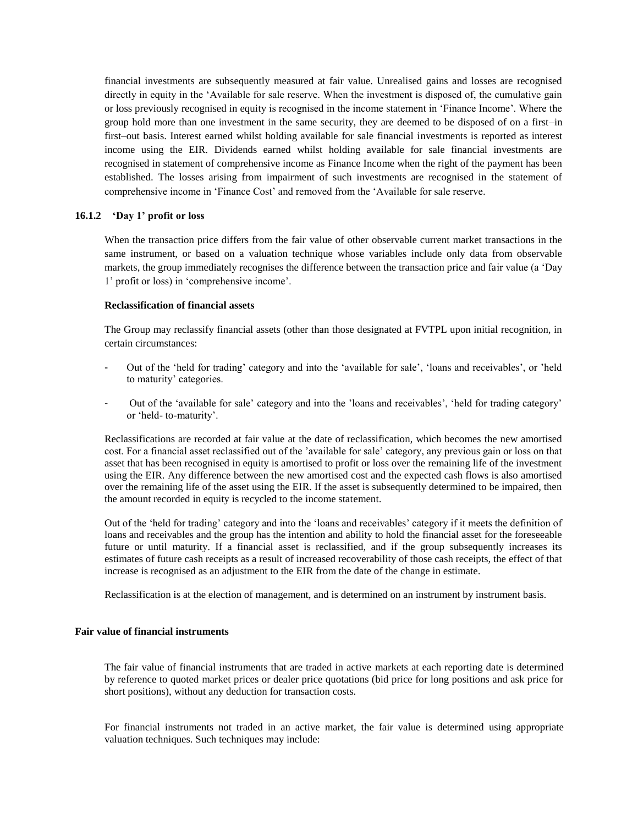financial investments are subsequently measured at fair value. Unrealised gains and losses are recognised directly in equity in the 'Available for sale reserve. When the investment is disposed of, the cumulative gain or loss previously recognised in equity is recognised in the income statement in 'Finance Income'. Where the group hold more than one investment in the same security, they are deemed to be disposed of on a first–in first–out basis. Interest earned whilst holding available for sale financial investments is reported as interest income using the EIR. Dividends earned whilst holding available for sale financial investments are recognised in statement of comprehensive income as Finance Income when the right of the payment has been established. The losses arising from impairment of such investments are recognised in the statement of comprehensive income in 'Finance Cost' and removed from the 'Available for sale reserve.

## **16.1.2 'Day 1' profit or loss**

When the transaction price differs from the fair value of other observable current market transactions in the same instrument, or based on a valuation technique whose variables include only data from observable markets, the group immediately recognises the difference between the transaction price and fair value (a 'Day 1' profit or loss) in 'comprehensive income'.

#### **Reclassification of financial assets**

The Group may reclassify financial assets (other than those designated at FVTPL upon initial recognition, in certain circumstances:

- Out of the 'held for trading' category and into the 'available for sale', 'loans and receivables', or 'held to maturity' categories.
- Out of the 'available for sale' category and into the 'loans and receivables', 'held for trading category' or 'held- to-maturity'.

Reclassifications are recorded at fair value at the date of reclassification, which becomes the new amortised cost. For a financial asset reclassified out of the 'available for sale' category, any previous gain or loss on that asset that has been recognised in equity is amortised to profit or loss over the remaining life of the investment using the EIR. Any difference between the new amortised cost and the expected cash flows is also amortised over the remaining life of the asset using the EIR. If the asset is subsequently determined to be impaired, then the amount recorded in equity is recycled to the income statement.

Out of the 'held for trading' category and into the 'loans and receivables' category if it meets the definition of loans and receivables and the group has the intention and ability to hold the financial asset for the foreseeable future or until maturity. If a financial asset is reclassified, and if the group subsequently increases its estimates of future cash receipts as a result of increased recoverability of those cash receipts, the effect of that increase is recognised as an adjustment to the EIR from the date of the change in estimate.

Reclassification is at the election of management, and is determined on an instrument by instrument basis.

#### **Fair value of financial instruments**

The fair value of financial instruments that are traded in active markets at each reporting date is determined by reference to quoted market prices or dealer price quotations (bid price for long positions and ask price for short positions), without any deduction for transaction costs.

For financial instruments not traded in an active market, the fair value is determined using appropriate valuation techniques. Such techniques may include: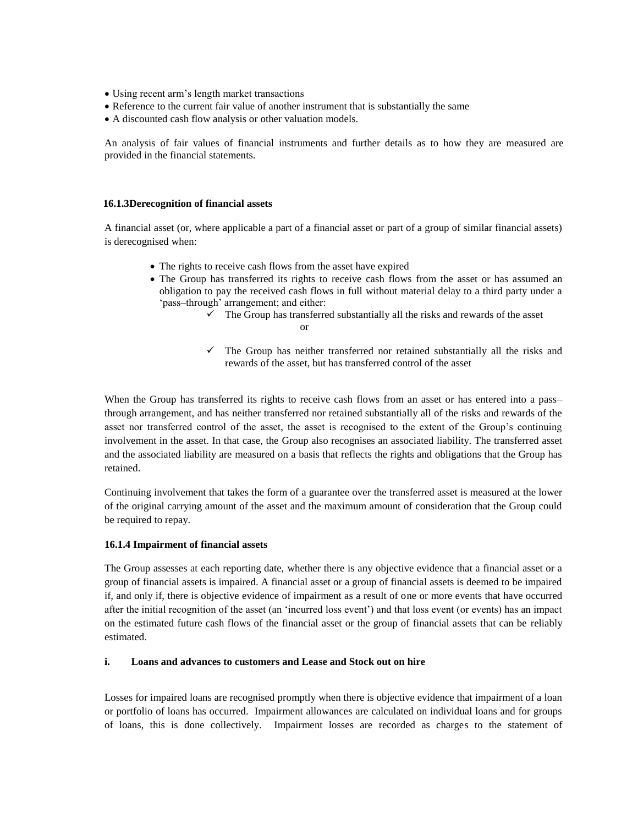- Using recent arm's length market transactions
- Reference to the current fair value of another instrument that is substantially the same
- A discounted cash flow analysis or other valuation models.

An analysis of fair values of financial instruments and further details as to how they are measured are provided in the financial statements.

#### **16.1.3Derecognition of financial assets**

A financial asset (or, where applicable a part of a financial asset or part of a group of similar financial assets) is derecognised when:

- The rights to receive cash flows from the asset have expired
- The Group has transferred its rights to receive cash flows from the asset or has assumed an obligation to pay the received cash flows in full without material delay to a third party under a 'pass–through' arrangement; and either:
	- $\checkmark$  The Group has transferred substantially all the risks and rewards of the asset

or

 $\checkmark$  The Group has neither transferred nor retained substantially all the risks and rewards of the asset, but has transferred control of the asset

When the Group has transferred its rights to receive cash flows from an asset or has entered into a pass– through arrangement, and has neither transferred nor retained substantially all of the risks and rewards of the asset nor transferred control of the asset, the asset is recognised to the extent of the Group's continuing involvement in the asset. In that case, the Group also recognises an associated liability. The transferred asset and the associated liability are measured on a basis that reflects the rights and obligations that the Group has retained.

Continuing involvement that takes the form of a guarantee over the transferred asset is measured at the lower of the original carrying amount of the asset and the maximum amount of consideration that the Group could be required to repay.

# **16.1.4 Impairment of financial assets**

The Group assesses at each reporting date, whether there is any objective evidence that a financial asset or a group of financial assets is impaired. A financial asset or a group of financial assets is deemed to be impaired if, and only if, there is objective evidence of impairment as a result of one or more events that have occurred after the initial recognition of the asset (an 'incurred loss event') and that loss event (or events) has an impact on the estimated future cash flows of the financial asset or the group of financial assets that can be reliably estimated.

# **i. Loans and advances to customers and Lease and Stock out on hire**

Losses for impaired loans are recognised promptly when there is objective evidence that impairment of a loan or portfolio of loans has occurred. Impairment allowances are calculated on individual loans and for groups of loans, this is done collectively. Impairment losses are recorded as charges to the statement of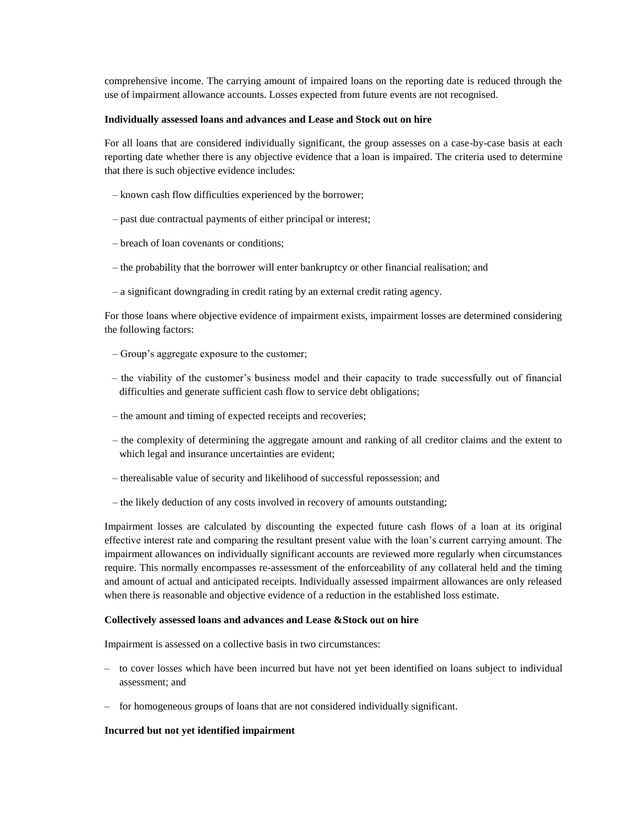comprehensive income. The carrying amount of impaired loans on the reporting date is reduced through the use of impairment allowance accounts. Losses expected from future events are not recognised.

#### **Individually assessed loans and advances and Lease and Stock out on hire**

For all loans that are considered individually significant, the group assesses on a case-by-case basis at each reporting date whether there is any objective evidence that a loan is impaired. The criteria used to determine that there is such objective evidence includes:

- known cash flow difficulties experienced by the borrower;
- past due contractual payments of either principal or interest;
- breach of loan covenants or conditions;
- the probability that the borrower will enter bankruptcy or other financial realisation; and
- a significant downgrading in credit rating by an external credit rating agency.

For those loans where objective evidence of impairment exists, impairment losses are determined considering the following factors:

- Group's aggregate exposure to the customer;
- the viability of the customer's business model and their capacity to trade successfully out of financial difficulties and generate sufficient cash flow to service debt obligations;
- the amount and timing of expected receipts and recoveries;
- the complexity of determining the aggregate amount and ranking of all creditor claims and the extent to which legal and insurance uncertainties are evident;
- therealisable value of security and likelihood of successful repossession; and
- the likely deduction of any costs involved in recovery of amounts outstanding;

Impairment losses are calculated by discounting the expected future cash flows of a loan at its original effective interest rate and comparing the resultant present value with the loan's current carrying amount. The impairment allowances on individually significant accounts are reviewed more regularly when circumstances require. This normally encompasses re-assessment of the enforceability of any collateral held and the timing and amount of actual and anticipated receipts. Individually assessed impairment allowances are only released when there is reasonable and objective evidence of a reduction in the established loss estimate.

#### **Collectively assessed loans and advances and Lease &Stock out on hire**

Impairment is assessed on a collective basis in two circumstances:

- to cover losses which have been incurred but have not yet been identified on loans subject to individual assessment; and
- for homogeneous groups of loans that are not considered individually significant.

#### **Incurred but not yet identified impairment**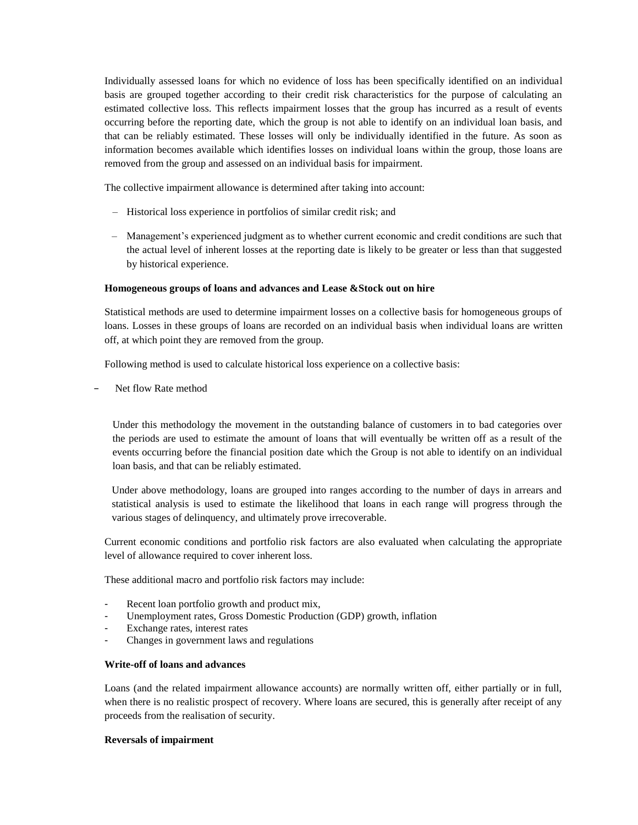Individually assessed loans for which no evidence of loss has been specifically identified on an individual basis are grouped together according to their credit risk characteristics for the purpose of calculating an estimated collective loss. This reflects impairment losses that the group has incurred as a result of events occurring before the reporting date, which the group is not able to identify on an individual loan basis, and that can be reliably estimated. These losses will only be individually identified in the future. As soon as information becomes available which identifies losses on individual loans within the group, those loans are removed from the group and assessed on an individual basis for impairment.

The collective impairment allowance is determined after taking into account:

- Historical loss experience in portfolios of similar credit risk; and
- Management's experienced judgment as to whether current economic and credit conditions are such that the actual level of inherent losses at the reporting date is likely to be greater or less than that suggested by historical experience.

#### **Homogeneous groups of loans and advances and Lease &Stock out on hire**

Statistical methods are used to determine impairment losses on a collective basis for homogeneous groups of loans. Losses in these groups of loans are recorded on an individual basis when individual loans are written off, at which point they are removed from the group.

Following method is used to calculate historical loss experience on a collective basis:

Net flow Rate method

Under this methodology the movement in the outstanding balance of customers in to bad categories over the periods are used to estimate the amount of loans that will eventually be written off as a result of the events occurring before the financial position date which the Group is not able to identify on an individual loan basis, and that can be reliably estimated.

Under above methodology, loans are grouped into ranges according to the number of days in arrears and statistical analysis is used to estimate the likelihood that loans in each range will progress through the various stages of delinquency, and ultimately prove irrecoverable.

Current economic conditions and portfolio risk factors are also evaluated when calculating the appropriate level of allowance required to cover inherent loss.

These additional macro and portfolio risk factors may include:

- Recent loan portfolio growth and product mix,
- Unemployment rates, Gross Domestic Production (GDP) growth, inflation
- Exchange rates, interest rates
- Changes in government laws and regulations

## **Write-off of loans and advances**

Loans (and the related impairment allowance accounts) are normally written off, either partially or in full, when there is no realistic prospect of recovery. Where loans are secured, this is generally after receipt of any proceeds from the realisation of security.

#### **Reversals of impairment**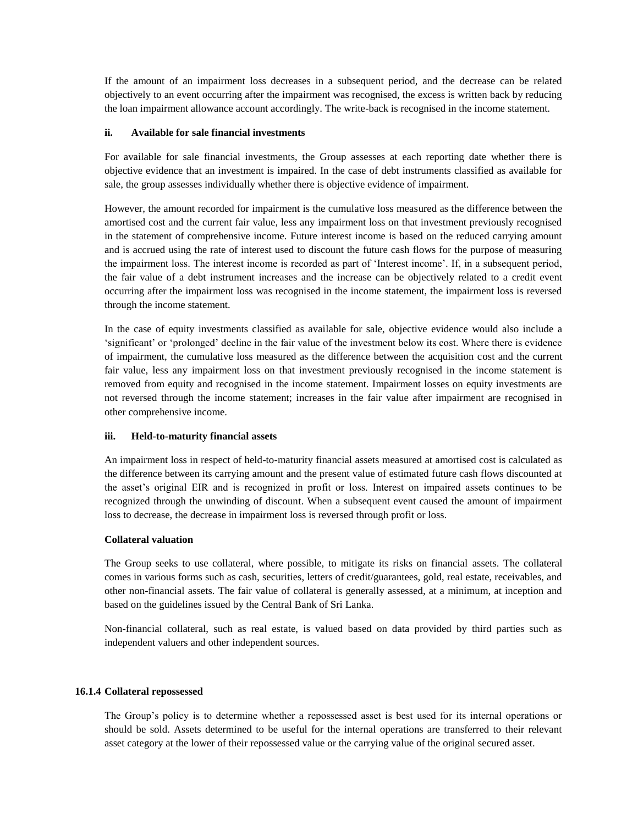If the amount of an impairment loss decreases in a subsequent period, and the decrease can be related objectively to an event occurring after the impairment was recognised, the excess is written back by reducing the loan impairment allowance account accordingly. The write-back is recognised in the income statement.

## **ii. Available for sale financial investments**

For available for sale financial investments, the Group assesses at each reporting date whether there is objective evidence that an investment is impaired. In the case of debt instruments classified as available for sale, the group assesses individually whether there is objective evidence of impairment.

However, the amount recorded for impairment is the cumulative loss measured as the difference between the amortised cost and the current fair value, less any impairment loss on that investment previously recognised in the statement of comprehensive income. Future interest income is based on the reduced carrying amount and is accrued using the rate of interest used to discount the future cash flows for the purpose of measuring the impairment loss. The interest income is recorded as part of 'Interest income'. If, in a subsequent period, the fair value of a debt instrument increases and the increase can be objectively related to a credit event occurring after the impairment loss was recognised in the income statement, the impairment loss is reversed through the income statement.

In the case of equity investments classified as available for sale, objective evidence would also include a 'significant' or 'prolonged' decline in the fair value of the investment below its cost. Where there is evidence of impairment, the cumulative loss measured as the difference between the acquisition cost and the current fair value, less any impairment loss on that investment previously recognised in the income statement is removed from equity and recognised in the income statement. Impairment losses on equity investments are not reversed through the income statement; increases in the fair value after impairment are recognised in other comprehensive income.

# **iii. Held-to-maturity financial assets**

An impairment loss in respect of held-to-maturity financial assets measured at amortised cost is calculated as the difference between its carrying amount and the present value of estimated future cash flows discounted at the asset's original EIR and is recognized in profit or loss. Interest on impaired assets continues to be recognized through the unwinding of discount. When a subsequent event caused the amount of impairment loss to decrease, the decrease in impairment loss is reversed through profit or loss.

#### **Collateral valuation**

The Group seeks to use collateral, where possible, to mitigate its risks on financial assets. The collateral comes in various forms such as cash, securities, letters of credit/guarantees, gold, real estate, receivables, and other non-financial assets. The fair value of collateral is generally assessed, at a minimum, at inception and based on the guidelines issued by the Central Bank of Sri Lanka.

Non-financial collateral, such as real estate, is valued based on data provided by third parties such as independent valuers and other independent sources.

#### **16.1.4 Collateral repossessed**

The Group's policy is to determine whether a repossessed asset is best used for its internal operations or should be sold. Assets determined to be useful for the internal operations are transferred to their relevant asset category at the lower of their repossessed value or the carrying value of the original secured asset.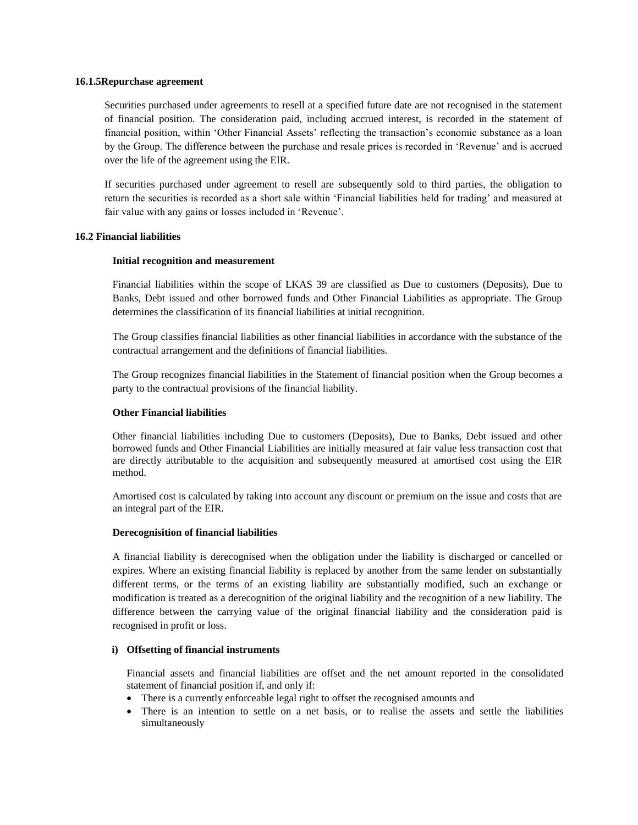#### **16.1.5Repurchase agreement**

Securities purchased under agreements to resell at a specified future date are not recognised in the statement of financial position. The consideration paid, including accrued interest, is recorded in the statement of financial position, within 'Other Financial Assets' reflecting the transaction's economic substance as a loan by the Group. The difference between the purchase and resale prices is recorded in 'Revenue' and is accrued over the life of the agreement using the EIR.

If securities purchased under agreement to resell are subsequently sold to third parties, the obligation to return the securities is recorded as a short sale within 'Financial liabilities held for trading' and measured at fair value with any gains or losses included in 'Revenue'.

#### **16.2 Financial liabilities**

#### **Initial recognition and measurement**

Financial liabilities within the scope of LKAS 39 are classified as Due to customers (Deposits), Due to Banks, Debt issued and other borrowed funds and Other Financial Liabilities as appropriate. The Group determines the classification of its financial liabilities at initial recognition.

The Group classifies financial liabilities as other financial liabilities in accordance with the substance of the contractual arrangement and the definitions of financial liabilities.

The Group recognizes financial liabilities in the Statement of financial position when the Group becomes a party to the contractual provisions of the financial liability.

#### **Other Financial liabilities**

Other financial liabilities including Due to customers (Deposits), Due to Banks, Debt issued and other borrowed funds and Other Financial Liabilities are initially measured at fair value less transaction cost that are directly attributable to the acquisition and subsequently measured at amortised cost using the EIR method.

Amortised cost is calculated by taking into account any discount or premium on the issue and costs that are an integral part of the EIR.

#### **Derecognisition of financial liabilities**

A financial liability is derecognised when the obligation under the liability is discharged or cancelled or expires. Where an existing financial liability is replaced by another from the same lender on substantially different terms, or the terms of an existing liability are substantially modified, such an exchange or modification is treated as a derecognition of the original liability and the recognition of a new liability. The difference between the carrying value of the original financial liability and the consideration paid is recognised in profit or loss.

#### **i) Offsetting of financial instruments**

Financial assets and financial liabilities are offset and the net amount reported in the consolidated statement of financial position if, and only if:

- There is a currently enforceable legal right to offset the recognised amounts and
- There is an intention to settle on a net basis, or to realise the assets and settle the liabilities simultaneously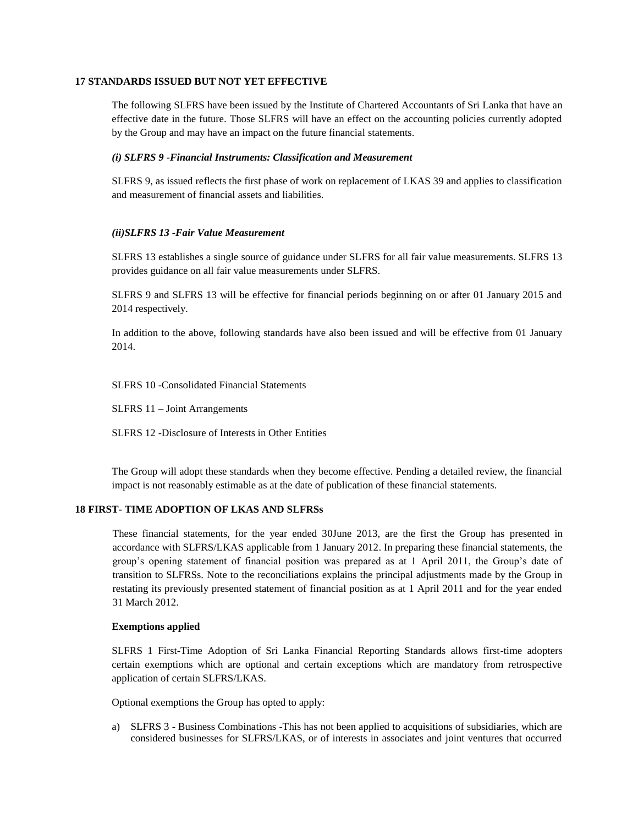## **17 STANDARDS ISSUED BUT NOT YET EFFECTIVE**

The following SLFRS have been issued by the Institute of Chartered Accountants of Sri Lanka that have an effective date in the future. Those SLFRS will have an effect on the accounting policies currently adopted by the Group and may have an impact on the future financial statements.

## *(i) SLFRS 9 -Financial Instruments: Classification and Measurement*

SLFRS 9, as issued reflects the first phase of work on replacement of LKAS 39 and applies to classification and measurement of financial assets and liabilities.

## *(ii)SLFRS 13* -*Fair Value Measurement*

SLFRS 13 establishes a single source of guidance under SLFRS for all fair value measurements. SLFRS 13 provides guidance on all fair value measurements under SLFRS.

SLFRS 9 and SLFRS 13 will be effective for financial periods beginning on or after 01 January 2015 and 2014 respectively.

In addition to the above, following standards have also been issued and will be effective from 01 January 2014.

SLFRS 10 -Consolidated Financial Statements

SLFRS 11 – Joint Arrangements

SLFRS 12 -Disclosure of Interests in Other Entities

The Group will adopt these standards when they become effective. Pending a detailed review, the financial impact is not reasonably estimable as at the date of publication of these financial statements.

# **18 FIRST- TIME ADOPTION OF LKAS AND SLFRSs**

These financial statements, for the year ended 30June 2013, are the first the Group has presented in accordance with SLFRS/LKAS applicable from 1 January 2012. In preparing these financial statements, the group's opening statement of financial position was prepared as at 1 April 2011, the Group's date of transition to SLFRSs. Note to the reconciliations explains the principal adjustments made by the Group in restating its previously presented statement of financial position as at 1 April 2011 and for the year ended 31 March 2012.

#### **Exemptions applied**

SLFRS 1 First-Time Adoption of Sri Lanka Financial Reporting Standards allows first-time adopters certain exemptions which are optional and certain exceptions which are mandatory from retrospective application of certain SLFRS/LKAS.

Optional exemptions the Group has opted to apply:

a) SLFRS 3 - Business Combinations -This has not been applied to acquisitions of subsidiaries, which are considered businesses for SLFRS/LKAS, or of interests in associates and joint ventures that occurred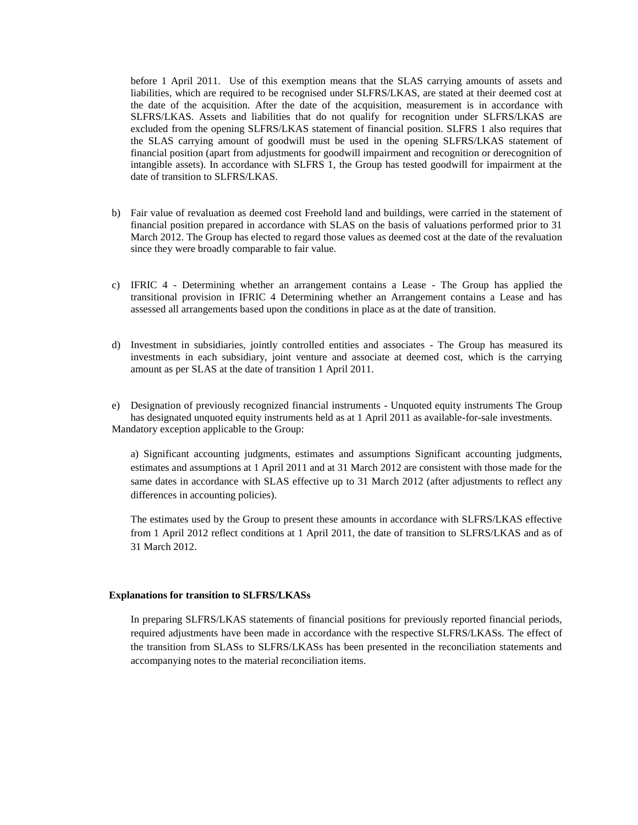before 1 April 2011. Use of this exemption means that the SLAS carrying amounts of assets and liabilities, which are required to be recognised under SLFRS/LKAS, are stated at their deemed cost at the date of the acquisition. After the date of the acquisition, measurement is in accordance with SLFRS/LKAS. Assets and liabilities that do not qualify for recognition under SLFRS/LKAS are excluded from the opening SLFRS/LKAS statement of financial position. SLFRS 1 also requires that the SLAS carrying amount of goodwill must be used in the opening SLFRS/LKAS statement of financial position (apart from adjustments for goodwill impairment and recognition or derecognition of intangible assets). In accordance with SLFRS 1, the Group has tested goodwill for impairment at the date of transition to SLFRS/LKAS.

- b) Fair value of revaluation as deemed cost Freehold land and buildings, were carried in the statement of financial position prepared in accordance with SLAS on the basis of valuations performed prior to 31 March 2012. The Group has elected to regard those values as deemed cost at the date of the revaluation since they were broadly comparable to fair value.
- c) IFRIC 4 Determining whether an arrangement contains a Lease The Group has applied the transitional provision in IFRIC 4 Determining whether an Arrangement contains a Lease and has assessed all arrangements based upon the conditions in place as at the date of transition.
- d) Investment in subsidiaries, jointly controlled entities and associates The Group has measured its investments in each subsidiary, joint venture and associate at deemed cost, which is the carrying amount as per SLAS at the date of transition 1 April 2011.

e) Designation of previously recognized financial instruments - Unquoted equity instruments The Group has designated unquoted equity instruments held as at 1 April 2011 as available-for-sale investments. Mandatory exception applicable to the Group:

a) Significant accounting judgments, estimates and assumptions Significant accounting judgments, estimates and assumptions at 1 April 2011 and at 31 March 2012 are consistent with those made for the same dates in accordance with SLAS effective up to 31 March 2012 (after adjustments to reflect any differences in accounting policies).

The estimates used by the Group to present these amounts in accordance with SLFRS/LKAS effective from 1 April 2012 reflect conditions at 1 April 2011, the date of transition to SLFRS/LKAS and as of 31 March 2012.

#### **Explanations for transition to SLFRS/LKASs**

In preparing SLFRS/LKAS statements of financial positions for previously reported financial periods, required adjustments have been made in accordance with the respective SLFRS/LKASs. The effect of the transition from SLASs to SLFRS/LKASs has been presented in the reconciliation statements and accompanying notes to the material reconciliation items.